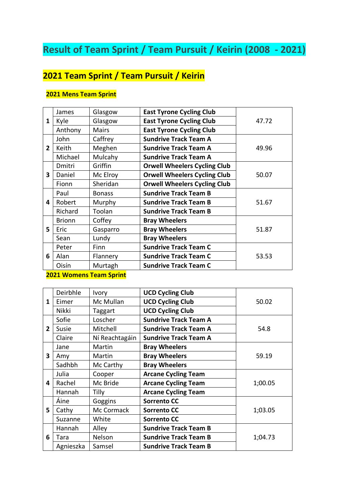# **Result of Team Sprint / Team Pursuit / Keirin (2008 - 2021)**

# **2021 Team Sprint / Team Pursuit / Keirin**

## **2021 Mens Team Sprint**

|                         | James         | Glasgow       | <b>East Tyrone Cycling Club</b>     |       |
|-------------------------|---------------|---------------|-------------------------------------|-------|
| 1                       | Kyle          | Glasgow       | <b>East Tyrone Cycling Club</b>     | 47.72 |
|                         | Anthony       | Mairs         | <b>East Tyrone Cycling Club</b>     |       |
|                         | John          | Caffrey       | <b>Sundrive Track Team A</b>        |       |
| $\overline{2}$          | Keith         | Meghen        | <b>Sundrive Track Team A</b>        | 49.96 |
|                         | Michael       | Mulcahy       | <b>Sundrive Track Team A</b>        |       |
|                         | Dmitri        | Griffin       | <b>Orwell Wheelers Cycling Club</b> |       |
| $\overline{\mathbf{3}}$ | Daniel        | Mc Elroy      | <b>Orwell Wheelers Cycling Club</b> | 50.07 |
|                         | Fionn         | Sheridan      | <b>Orwell Wheelers Cycling Club</b> |       |
| 4                       | Paul          | <b>Bonass</b> | <b>Sundrive Track Team B</b>        |       |
|                         | Robert        | Murphy        | <b>Sundrive Track Team B</b>        | 51.67 |
|                         | Richard       | Toolan        | <b>Sundrive Track Team B</b>        |       |
|                         | <b>Brionn</b> | Coffey        | <b>Bray Wheelers</b>                |       |
| 5.                      | Eric          | Gasparro      | <b>Bray Wheelers</b>                | 51.87 |
|                         | Sean          | Lundy         | <b>Bray Wheelers</b>                |       |
|                         | Peter         | Finn          | <b>Sundrive Track Team C</b>        |       |
| 6                       | Alan          | Flannery      | <b>Sundrive Track Team C</b>        | 53.53 |
|                         | Oisín         | Murtagh       | <b>Sundrive Track Team C</b>        |       |

## **2021 Womens Team Sprint**

|                | Deirbhle     | <b>Ivory</b>   | <b>UCD Cycling Club</b>      |         |
|----------------|--------------|----------------|------------------------------|---------|
| 1              | Eimer        | Mc Mullan      | <b>UCD Cycling Club</b>      | 50.02   |
|                | <b>Nikki</b> | Taggart        | <b>UCD Cycling Club</b>      |         |
|                | Sofie        | Loscher        | <b>Sundrive Track Team A</b> |         |
| $\overline{2}$ | Susie        | Mitchell       | <b>Sundrive Track Team A</b> | 54.8    |
|                | Claire       | Ní Reachtagáin | <b>Sundrive Track Team A</b> |         |
|                | Jane         | Martin         | <b>Bray Wheelers</b>         |         |
| 3              | Amy          | Martin         | <b>Bray Wheelers</b>         | 59.19   |
|                | Sadhbh       | Mc Carthy      | <b>Bray Wheelers</b>         |         |
|                | Julia        | Cooper         | <b>Arcane Cycling Team</b>   |         |
| 4              | Rachel       | Mc Bride       | <b>Arcane Cycling Team</b>   | 1;00.05 |
|                | Hannah       | Tilly          | <b>Arcane Cycling Team</b>   |         |
|                | Áine         | Goggins        | <b>Sorrento CC</b>           |         |
| 5.             | Cathy        | Mc Cormack     | <b>Sorrento CC</b>           | 1;03.05 |
|                | Suzanne      | White          | <b>Sorrento CC</b>           |         |
|                | Hannah       | Alley          | <b>Sundrive Track Team B</b> |         |
| 6              | Tara         | Nelson         | <b>Sundrive Track Team B</b> | 1;04.73 |
|                | Agnieszka    | Samsel         | <b>Sundrive Track Team B</b> |         |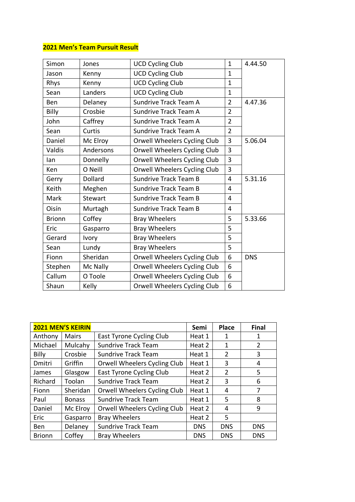## **2021 Men's Team Pursuit Result**

| Simon           | Jones     | <b>UCD Cycling Club</b>      | $\mathbf{1}$   | 4.44.50    |
|-----------------|-----------|------------------------------|----------------|------------|
| Jason           | Kenny     | <b>UCD Cycling Club</b>      | 1              |            |
| Rhys            | Kenny     | <b>UCD Cycling Club</b>      | $\mathbf{1}$   |            |
| Sean            | Landers   | <b>UCD Cycling Club</b>      | $\mathbf{1}$   |            |
| Ben             | Delaney   | Sundrive Track Team A        | $\overline{2}$ | 4.47.36    |
| <b>Billy</b>    | Crosbie   | Sundrive Track Team A        | $\overline{2}$ |            |
| John            | Caffrey   | Sundrive Track Team A        | $\overline{2}$ |            |
| Sean            | Curtis    | Sundrive Track Team A        | $\overline{2}$ |            |
| Daniel          | Mc Elroy  | Orwell Wheelers Cycling Club | 3              | 5.06.04    |
| Valdis          | Andersons | Orwell Wheelers Cycling Club | 3              |            |
| lan             | Donnelly  | Orwell Wheelers Cycling Club | 3              |            |
| <b>Ken</b>      | O Neill   | Orwell Wheelers Cycling Club | 3              |            |
| Gerry           | Dollard   | <b>Sundrive Track Team B</b> | 4              | 5.31.16    |
| Keith           | Meghen    | <b>Sundrive Track Team B</b> | 4              |            |
| Mark<br>Stewart |           | <b>Sundrive Track Team B</b> | 4              |            |
| Oisín           | Murtagh   | <b>Sundrive Track Team B</b> | 4              |            |
| <b>Brionn</b>   | Coffey    | <b>Bray Wheelers</b>         | 5              | 5.33.66    |
| Eric            | Gasparro  | <b>Bray Wheelers</b>         | 5              |            |
| Gerard<br>Ivory |           | <b>Bray Wheelers</b>         | 5              |            |
| Sean            | Lundy     | <b>Bray Wheelers</b>         | 5              |            |
| Fionn           | Sheridan  | Orwell Wheelers Cycling Club | 6              | <b>DNS</b> |
| Stephen         | Mc Nally  | Orwell Wheelers Cycling Club | 6              |            |
| Callum          | O Toole   | Orwell Wheelers Cycling Club | 6              |            |
| Shaun           | Kelly     | Orwell Wheelers Cycling Club | 6              |            |

| <b>2021 MEN'S KEIRIN</b> |               |                              | Semi       | Place          | <b>Final</b>   |
|--------------------------|---------------|------------------------------|------------|----------------|----------------|
| Anthony                  | <b>Mairs</b>  | East Tyrone Cycling Club     | Heat 1     | 1              | 1              |
| Michael                  | Mulcahy       | <b>Sundrive Track Team</b>   | Heat 2     | 1              | $\overline{2}$ |
| <b>Billy</b>             | Crosbie       | <b>Sundrive Track Team</b>   | Heat 1     | $\overline{2}$ | 3              |
| Dmitri                   | Griffin       | Orwell Wheelers Cycling Club | Heat 1     | 3              | 4              |
| James                    | Glasgow       | East Tyrone Cycling Club     | Heat 2     | $\overline{2}$ | 5              |
| Richard                  | Toolan        | <b>Sundrive Track Team</b>   | Heat 2     | 3              | 6              |
| Fionn                    | Sheridan      | Orwell Wheelers Cycling Club | Heat 1     | 4              | 7              |
| Paul                     | <b>Bonass</b> | <b>Sundrive Track Team</b>   | Heat 1     | 5              | 8              |
| Daniel                   | Mc Elroy      | Orwell Wheelers Cycling Club | Heat 2     | 4              | 9              |
| Eric                     | Gasparro      | <b>Bray Wheelers</b>         | Heat 2     | 5.             |                |
| Ben                      | Delaney       | <b>Sundrive Track Team</b>   | <b>DNS</b> | <b>DNS</b>     | <b>DNS</b>     |
| <b>Brionn</b>            | Coffey        | <b>Bray Wheelers</b>         | <b>DNS</b> | <b>DNS</b>     | <b>DNS</b>     |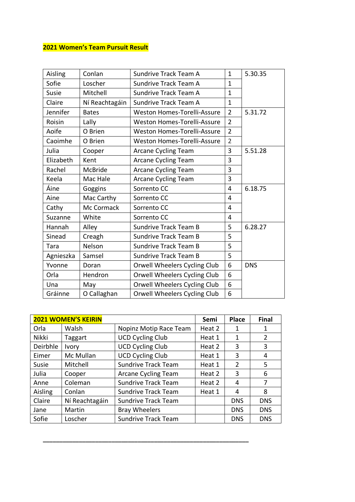# **2021 Women's Team Pursuit Result**

| Aisling             | Conlan         | Sundrive Track Team A              |                | 5.30.35    |
|---------------------|----------------|------------------------------------|----------------|------------|
| Sofie               | Loscher        | Sundrive Track Team A              | $\mathbf{1}$   |            |
| Susie               | Mitchell       | Sundrive Track Team A              | $\mathbf{1}$   |            |
| Claire              | Ní Reachtagáin | Sundrive Track Team A              | $\mathbf{1}$   |            |
| Jennifer            | <b>Bates</b>   | <b>Weston Homes-Torelli-Assure</b> | $\overline{2}$ | 5.31.72    |
| Roisin              | Lally          | Weston Homes-Torelli-Assure        | $\overline{2}$ |            |
| Aoife               | O Brien        | <b>Weston Homes-Torelli-Assure</b> | $\overline{2}$ |            |
| Caoimhe             | O Brien        | <b>Weston Homes-Torelli-Assure</b> | $\overline{2}$ |            |
| Julia               | Cooper         | Arcane Cycling Team                | 3              | 5.51.28    |
| Elizabeth           | Kent           | Arcane Cycling Team                | 3              |            |
| Rachel              | McBride        | <b>Arcane Cycling Team</b>         | 3              |            |
| Keela               | Mac Hale       | <b>Arcane Cycling Team</b>         | 3              |            |
| Áine                | Goggins        | Sorrento CC                        | 4              | 6.18.75    |
| Aine                | Mac Carthy     | Sorrento CC                        | 4              |            |
| Mc Cormack<br>Cathy |                | Sorrento CC                        | 4              |            |
| Suzanne             | White          | Sorrento CC                        | 4              |            |
| Hannah              | Alley          | <b>Sundrive Track Team B</b>       | 5              | 6.28.27    |
| Sinead              | Creagh         | <b>Sundrive Track Team B</b>       | 5              |            |
| Tara                | Nelson         | <b>Sundrive Track Team B</b>       | 5              |            |
| Agnieszka           | Samsel         | <b>Sundrive Track Team B</b>       | 5              |            |
| Yvonne              | Doran          | Orwell Wheelers Cycling Club       | 6              | <b>DNS</b> |
| Orla                | Hendron        | Orwell Wheelers Cycling Club       | 6              |            |
| Una                 | May            | Orwell Wheelers Cycling Club       | 6              |            |
| Gráinne             | O Callaghan    | Orwell Wheelers Cycling Club       | 6              |            |

| <b>2021 WOMEN'S KEIRIN</b> |                |                            | Semi   | <b>Place</b>   | <b>Final</b>   |
|----------------------------|----------------|----------------------------|--------|----------------|----------------|
| Orla                       | Walsh          | Nopinz Motip Race Team     | Heat 2 | 1              | 1              |
| Nikki                      | Taggart        | <b>UCD Cycling Club</b>    | Heat 1 | 1              | $\overline{2}$ |
| Deirbhle                   | Ivory          | <b>UCD Cycling Club</b>    | Heat 2 | 3              | 3              |
| Eimer                      | Mc Mullan      | <b>UCD Cycling Club</b>    | Heat 1 | 3              | 4              |
| Susie                      | Mitchell       | <b>Sundrive Track Team</b> | Heat 1 | $\overline{2}$ | 5              |
| Julia                      | Cooper         | <b>Arcane Cycling Team</b> | Heat 2 | 3              | 6              |
| Anne                       | Coleman        | <b>Sundrive Track Team</b> | Heat 2 | 4              | 7              |
| Aisling                    | Conlan         | <b>Sundrive Track Team</b> | Heat 1 | 4              | 8              |
| Claire                     | Ní Reachtagáin | <b>Sundrive Track Team</b> |        | <b>DNS</b>     | <b>DNS</b>     |
| Jane                       | Martin         | <b>Bray Wheelers</b>       |        | <b>DNS</b>     | <b>DNS</b>     |
| Sofie                      | Loscher        | <b>Sundrive Track Team</b> |        | <b>DNS</b>     | <b>DNS</b>     |

**\_\_\_\_\_\_\_\_\_\_\_\_\_\_\_\_\_\_\_\_\_\_\_\_\_\_\_\_\_\_\_\_\_\_\_\_\_\_\_\_\_\_\_\_\_\_\_\_\_\_\_\_\_\_\_\_\_\_\_\_\_\_\_**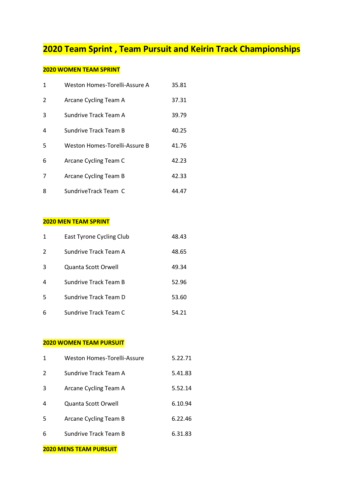# **2020 Team Sprint , Team Pursuit and Keirin Track Championships**

## **2020 WOMEN TEAM SPRINT**

| 1 | Weston Homes-Torelli-Assure A        | 35.81 |
|---|--------------------------------------|-------|
| 2 | Arcane Cycling Team A                | 37.31 |
| 3 | Sundrive Track Team A                | 39.79 |
| 4 | Sundrive Track Team B                | 40.25 |
| 5 | <b>Weston Homes-Torelli-Assure B</b> | 41.76 |
| 6 | Arcane Cycling Team C                | 42.23 |
| 7 | Arcane Cycling Team B                | 42.33 |
| 8 | SundriveTrack Team C                 | 44.47 |

#### **2020 MEN TEAM SPRINT**

| $\mathbf{1}$  | East Tyrone Cycling Club | 48.43 |
|---------------|--------------------------|-------|
| $\mathcal{P}$ | Sundrive Track Team A    | 48.65 |
| 3             | Quanta Scott Orwell      | 49.34 |
| 4             | Sundrive Track Team B    | 52.96 |
| 5             | Sundrive Track Team D    | 53.60 |
| 6             | Sundrive Track Team C    | 54.21 |

### **2020 WOMEN TEAM PURSUIT**

| $\mathbf{1}$  | Weston Homes-Torelli-Assure | 5.22.71 |
|---------------|-----------------------------|---------|
| $\mathcal{P}$ | Sundrive Track Team A       | 5.41.83 |
| 3             | Arcane Cycling Team A       | 5.52.14 |
| 4             | Quanta Scott Orwell         | 6.10.94 |
| 5             | Arcane Cycling Team B       | 6.22.46 |
| 6             | Sundrive Track Team B       | 6.31.83 |

#### **2020 MENS TEAM PURSUIT**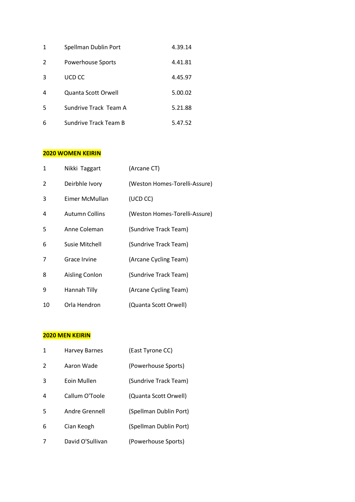| 1 | Spellman Dublin Port  | 4.39.14 |
|---|-----------------------|---------|
| 2 | Powerhouse Sports     | 4.41.81 |
| 3 | UCD CC                | 4.45.97 |
| 4 | Quanta Scott Orwell   | 5.00.02 |
| 5 | Sundrive Track Team A | 5.21.88 |
| 6 | Sundrive Track Team B | 5.47.52 |

#### **2020 WOMEN KEIRIN**

| 1  | Nikki Taggart         | (Arcane CT)                   |
|----|-----------------------|-------------------------------|
| 2  | Deirbhle Ivory        | (Weston Homes-Torelli-Assure) |
| 3  | Eimer McMullan        | (UCD CC)                      |
| 4  | <b>Autumn Collins</b> | (Weston Homes-Torelli-Assure) |
| 5  | Anne Coleman          | (Sundrive Track Team)         |
| 6  | Susie Mitchell        | (Sundrive Track Team)         |
| 7  | Grace Irvine          | (Arcane Cycling Team)         |
| 8  | <b>Aisling Conlon</b> | (Sundrive Track Team)         |
| 9  | Hannah Tilly          | (Arcane Cycling Team)         |
| 10 | Orla Hendron          | (Quanta Scott Orwell)         |

## **2020 MEN KEIRIN**

| 1              | <b>Harvey Barnes</b> | (East Tyrone CC)       |
|----------------|----------------------|------------------------|
| $\overline{2}$ | Aaron Wade           | (Powerhouse Sports)    |
| 3              | Eoin Mullen          | (Sundrive Track Team)  |
| 4              | Callum O'Toole       | (Quanta Scott Orwell)  |
| 5              | Andre Grennell       | (Spellman Dublin Port) |
| 6              | Cian Keogh           | (Spellman Dublin Port) |
| 7              | David O'Sullivan     | (Powerhouse Sports)    |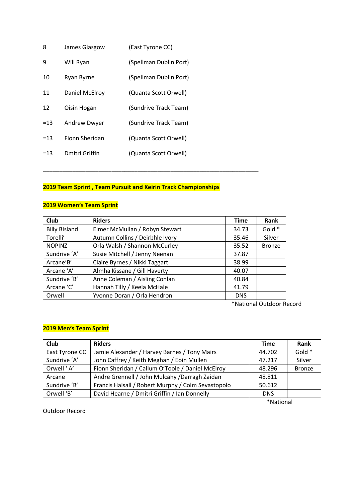| 8     | James Glasgow       | (East Tyrone CC)       |
|-------|---------------------|------------------------|
| 9     | Will Ryan           | (Spellman Dublin Port) |
| 10    | Ryan Byrne          | (Spellman Dublin Port) |
| 11    | Daniel McElroy      | (Quanta Scott Orwell)  |
| 12    | Oisin Hogan         | (Sundrive Track Team)  |
| $=13$ | <b>Andrew Dwyer</b> | (Sundrive Track Team)  |
| $=13$ | Fionn Sheridan      | (Quanta Scott Orwell)  |
| $=13$ | Dmitri Griffin      | (Quanta Scott Orwell)  |
|       |                     |                        |

## **2019 Team Sprint , Team Pursuit and Keirin Track Championships**

**\_\_\_\_\_\_\_\_\_\_\_\_\_\_\_\_\_\_\_\_\_\_\_\_\_\_\_\_\_\_\_\_\_\_\_\_\_\_\_\_\_\_\_\_\_\_\_\_\_\_\_\_\_\_\_\_\_\_\_\_\_\_\_\_\_\_**

## **2019 Women's Team Sprint**

| Club                 | <b>Riders</b>                   | <b>Time</b> | Rank          |
|----------------------|---------------------------------|-------------|---------------|
| <b>Billy Bisland</b> | Eimer McMullan / Robyn Stewart  | 34.73       | Gold *        |
| Torelli'             | Autumn Collins / Deirbhle Ivory | 35.46       | Silver        |
| <b>NOPINZ</b>        | Orla Walsh / Shannon McCurley   | 35.52       | <b>Bronze</b> |
| Sundrive 'A'         | Susie Mitchell / Jenny Neenan   | 37.87       |               |
| Arcane'B'            | Claire Byrnes / Nikki Taggart   | 38.99       |               |
| Arcane 'A'           | Almha Kissane / Gill Haverty    | 40.07       |               |
| Sundrive 'B'         | Anne Coleman / Aisling Conlan   | 40.84       |               |
| Arcane 'C'           | Hannah Tilly / Keela McHale     | 41.79       |               |
| Orwell               | Yvonne Doran / Orla Hendron     | <b>DNS</b>  |               |

\*National Outdoor Record

## **2019 Men's Team Sprint**

| <b>Club</b>    | <b>Riders</b>                                      | <b>Time</b> | Rank          |
|----------------|----------------------------------------------------|-------------|---------------|
| East Tyrone CC | Jamie Alexander / Harvey Barnes / Tony Mairs       | 44.702      | Gold *        |
| Sundrive 'A'   | John Caffrey / Keith Meghan / Eoin Mullen          | 47.217      | Silver        |
| Orwell 'A'     | Fionn Sheridan / Callum O'Toole / Daniel McElroy   | 48.296      | <b>Bronze</b> |
| Arcane         | Andre Grennell / John Mulcahy / Darragh Zaidan     | 48.811      |               |
| Sundrive 'B'   | Francis Halsall / Robert Murphy / Colm Sevastopolo | 50.612      |               |
| Orwell 'B'     | David Hearne / Dmitri Griffin / Ian Donnelly       | <b>DNS</b>  |               |

\*National

Outdoor Record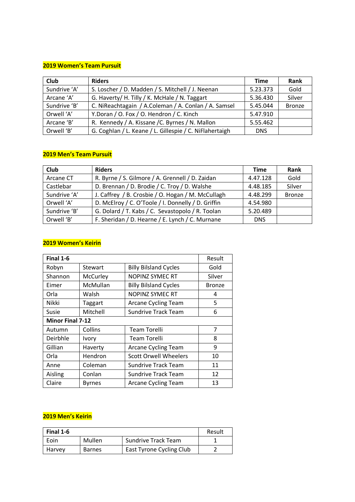#### **2019 Women's Team Pursuit**

| Club         | <b>Riders</b>                                           | <b>Time</b> | Rank          |
|--------------|---------------------------------------------------------|-------------|---------------|
| Sundrive 'A' | S. Loscher / D. Madden / S. Mitchell / J. Neenan        | 5.23.373    | Gold          |
| Arcane 'A'   | G. Haverty/ H. Tilly / K. McHale / N. Taggart           | 5.36.430    | Silver        |
| Sundrive 'B' | C. NiReachtagain / A.Coleman / A. Conlan / A. Samsel    | 5.45.044    | <b>Bronze</b> |
| Orwell 'A'   | Y.Doran / O. Fox / O. Hendron / C. Kinch                | 5.47.910    |               |
| Arcane 'B'   | R. Kennedy / A. Kissane / C. Byrnes / N. Mallon         | 5.55.462    |               |
| Orwell 'B'   | G. Coghlan / L. Keane / L. Gillespie / C. NiFlahertaigh | <b>DNS</b>  |               |

#### **2019 Men's Team Pursuit**

| Club         | <b>Riders</b>                                      | Time       | Rank          |
|--------------|----------------------------------------------------|------------|---------------|
| Arcane CT    | R. Byrne / S. Gilmore / A. Grennell / D. Zaidan    | 4.47.128   | Gold          |
| Castlebar    | D. Brennan / D. Brodie / C. Troy / D. Walshe       | 4.48.185   | Silver        |
| Sundrive 'A' | J. Caffrey / B. Crosbie / O. Hogan / M. McCullagh  | 4.48.299   | <b>Bronze</b> |
| Orwell 'A'   | D. McElroy / C. O'Toole / I. Donnelly / D. Griffin | 4.54.980   |               |
| Sundrive 'B' | G. Dolard / T. Kabs / C. Sevastopolo / R. Toolan   | 5.20.489   |               |
| Orwell 'B'   | F. Sheridan / D. Hearne / E. Lynch / C. Murnane    | <b>DNS</b> |               |

#### **2019 Women's Keirin**

| Final 1-6               |               |                              | Result        |
|-------------------------|---------------|------------------------------|---------------|
| Robyn                   | Stewart       | <b>Billy Bilsland Cycles</b> | Gold          |
| Shannon                 | McCurley      | NOPINZ SYMEC RT              | Silver        |
| Eimer                   | McMullan      | <b>Billy Bilsland Cycles</b> | <b>Bronze</b> |
| Orla                    | Walsh         | NOPINZ SYMEC RT              | 4             |
| Nikki                   | Taggart       | Arcane Cycling Team          | 5             |
| Susie                   | Mitchell      | <b>Sundrive Track Team</b>   | 6             |
| <b>Minor Final 7-12</b> |               |                              |               |
| Autumn                  | Collins       | Team Torelli                 | 7             |
| Deirbhle                | <b>Ivory</b>  | <b>Team Torelli</b>          | 8             |
| Gillian                 | Haverty       | <b>Arcane Cycling Team</b>   | 9             |
| Orla                    | Hendron       | <b>Scott Orwell Wheelers</b> | 10            |
| Anne                    | Coleman       | <b>Sundrive Track Team</b>   | 11            |
| Aisling                 | Conlan        | Sundrive Track Team          | 12            |
| Claire                  | <b>Byrnes</b> | <b>Arcane Cycling Team</b>   | 13            |

## **2019 Men's Keirin**

| Final 1-6 |               |                          | Result |
|-----------|---------------|--------------------------|--------|
| Eoin      | Mullen        | Sundrive Track Team      |        |
| Harvey    | <b>Barnes</b> | East Tyrone Cycling Club |        |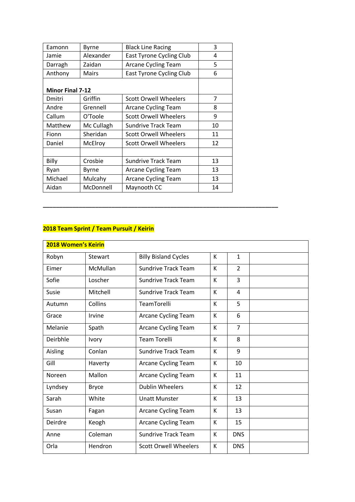| Eamonn                  | <b>Byrne</b> | <b>Black Line Racing</b>        | 3  |
|-------------------------|--------------|---------------------------------|----|
| Jamie                   | Alexander    | <b>East Tyrone Cycling Club</b> | 4  |
| Darragh                 | Zaidan       | <b>Arcane Cycling Team</b>      | 5  |
| Anthony                 | <b>Mairs</b> | <b>East Tyrone Cycling Club</b> | 6  |
| <b>Minor Final 7-12</b> |              |                                 |    |
| Dmitri                  | Griffin      | Scott Orwell Wheelers           | 7  |
| Andre                   | Grennell     | <b>Arcane Cycling Team</b>      | 8  |
| Callum                  | O'Toole      | <b>Scott Orwell Wheelers</b>    | 9  |
| Matthew                 | Mc Cullagh   | Sundrive Track Team             | 10 |
| Fionn                   | Sheridan     | Scott Orwell Wheelers           | 11 |
| Daniel                  | McElroy      | Scott Orwell Wheelers           | 12 |
|                         |              |                                 |    |
| Billy                   | Crosbie      | Sundrive Track Team             | 13 |
| Ryan                    | Byrne        | Arcane Cycling Team             | 13 |
| Michael                 | Mulcahy      | <b>Arcane Cycling Team</b>      | 13 |
| Aidan                   | McDonnell    | Maynooth CC                     | 14 |
|                         |              |                                 |    |

**\_\_\_\_\_\_\_\_\_\_\_\_\_\_\_\_\_\_\_\_\_\_\_\_\_\_\_\_\_\_\_\_\_\_\_\_\_\_\_\_\_\_\_\_\_\_\_\_\_\_\_\_\_\_\_\_\_\_\_\_\_\_\_\_\_\_\_\_\_\_\_\_**

## **2018 Team Sprint / Team Pursuit / Keirin**

| <b>2018 Women's Keirin</b> |                |                              |   |                |  |
|----------------------------|----------------|------------------------------|---|----------------|--|
| Robyn                      | <b>Stewart</b> | <b>Billy Bisland Cycles</b>  | К | $\mathbf{1}$   |  |
| Eimer                      | McMullan       | <b>Sundrive Track Team</b>   | K | $\overline{2}$ |  |
| Sofie                      | Loscher        | <b>Sundrive Track Team</b>   | K | 3              |  |
| Susie                      | Mitchell       | <b>Sundrive Track Team</b>   | K | 4              |  |
| Autumn                     | Collins        | TeamTorelli                  | K | 5              |  |
| Grace                      | Irvine         | <b>Arcane Cycling Team</b>   | K | 6              |  |
| Melanie                    | Spath          | Arcane Cycling Team          | К | $\overline{7}$ |  |
| Deirbhle                   | Ivory          | <b>Team Torelli</b>          | K | 8              |  |
| Aisling                    | Conlan         | <b>Sundrive Track Team</b>   | K | 9              |  |
| Gill                       | Haverty        | Arcane Cycling Team          | K | 10             |  |
| Noreen                     | Mallon         | Arcane Cycling Team          | К | 11             |  |
| Lyndsey                    | <b>Bryce</b>   | <b>Dublin Wheelers</b>       | K | 12             |  |
| Sarah                      | White          | <b>Unatt Munster</b>         | К | 13             |  |
| Susan                      | Fagan          | Arcane Cycling Team          | К | 13             |  |
| Deirdre                    | Keogh          | Arcane Cycling Team          | K | 15             |  |
| Anne                       | Coleman        | <b>Sundrive Track Team</b>   | K | <b>DNS</b>     |  |
| Orla                       | Hendron        | <b>Scott Orwell Wheelers</b> | К | <b>DNS</b>     |  |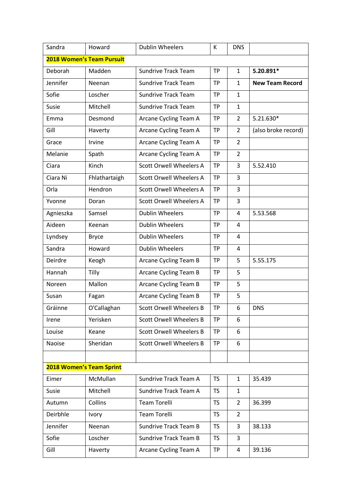| Sandra                   | Howard                           | <b>Dublin Wheelers</b>         | К         | <b>DNS</b>     |                        |
|--------------------------|----------------------------------|--------------------------------|-----------|----------------|------------------------|
|                          | <b>2018 Women's Team Pursuit</b> |                                |           |                |                        |
| Deborah                  | Madden                           | <b>Sundrive Track Team</b>     | <b>TP</b> | 1              | 5.20.891*              |
| Jennifer                 | Neenan                           | <b>Sundrive Track Team</b>     | <b>TP</b> | $\mathbf{1}$   | <b>New Team Record</b> |
| Sofie                    | Loscher                          | <b>Sundrive Track Team</b>     | <b>TP</b> | $\mathbf{1}$   |                        |
| Susie                    | Mitchell                         | <b>Sundrive Track Team</b>     | <b>TP</b> | $\mathbf{1}$   |                        |
| Emma                     | Desmond                          | Arcane Cycling Team A          | <b>TP</b> | 2              | 5.21.630*              |
| Gill                     | Haverty                          | Arcane Cycling Team A          | <b>TP</b> | $\overline{2}$ | (also broke record)    |
| Grace                    | Irvine                           | Arcane Cycling Team A          | <b>TP</b> | $\overline{2}$ |                        |
| Melanie                  | Spath                            | Arcane Cycling Team A          | <b>TP</b> | $\overline{2}$ |                        |
| Ciara                    | Kinch                            | <b>Scott Orwell Wheelers A</b> | <b>TP</b> | 3              | 5.52.410               |
| Ciara Ni                 | Fhlathartaigh                    | <b>Scott Orwell Wheelers A</b> | <b>TP</b> | 3              |                        |
| Orla                     | Hendron                          | <b>Scott Orwell Wheelers A</b> | <b>TP</b> | 3              |                        |
| Yvonne                   | Doran                            | <b>Scott Orwell Wheelers A</b> | <b>TP</b> | 3              |                        |
| Agnieszka                | Samsel                           | <b>Dublin Wheelers</b>         | <b>TP</b> | 4              | 5.53.568               |
| Aideen                   | Keenan                           | <b>Dublin Wheelers</b>         | <b>TP</b> | 4              |                        |
| Lyndsey                  | <b>Bryce</b>                     | <b>Dublin Wheelers</b>         | <b>TP</b> | 4              |                        |
| Sandra                   | Howard                           | <b>Dublin Wheelers</b>         | <b>TP</b> | 4              |                        |
| Deirdre                  | Keogh                            | Arcane Cycling Team B          | <b>TP</b> | 5              | 5.55.175               |
| Hannah                   | Tilly                            | Arcane Cycling Team B          | <b>TP</b> | 5              |                        |
| Noreen                   | Mallon                           | Arcane Cycling Team B          | <b>TP</b> | 5              |                        |
| Susan                    | Fagan                            | <b>Arcane Cycling Team B</b>   | <b>TP</b> | 5              |                        |
| Gráinne                  | O'Callaghan                      | <b>Scott Orwell Wheelers B</b> | <b>TP</b> | 6              | <b>DNS</b>             |
| Irene                    | Yerisken                         | <b>Scott Orwell Wheelers B</b> | <b>TP</b> | 6              |                        |
| Louise                   | Keane                            | <b>Scott Orwell Wheelers B</b> | <b>TP</b> | 6              |                        |
| Naoise                   | Sheridan                         | <b>Scott Orwell Wheelers B</b> | <b>TP</b> | 6              |                        |
|                          |                                  |                                |           |                |                        |
| 2018 Women's Team Sprint |                                  |                                |           |                |                        |
| Eimer                    | McMullan                         | Sundrive Track Team A          | <b>TS</b> | $\mathbf{1}$   | 35.439                 |
| Susie                    | Mitchell                         | Sundrive Track Team A          | <b>TS</b> | $\mathbf{1}$   |                        |
| Autumn                   | Collins                          | <b>Team Torelli</b>            | <b>TS</b> | $\overline{2}$ | 36.399                 |
| Deirbhle                 | Ivory                            | <b>Team Torelli</b>            | <b>TS</b> | $\overline{2}$ |                        |
| Jennifer                 | Neenan                           | <b>Sundrive Track Team B</b>   | <b>TS</b> | 3              | 38.133                 |
| Sofie                    | Loscher                          | <b>Sundrive Track Team B</b>   | <b>TS</b> | 3              |                        |
| Gill                     | Haverty                          | Arcane Cycling Team A          | <b>TP</b> | 4              | 39.136                 |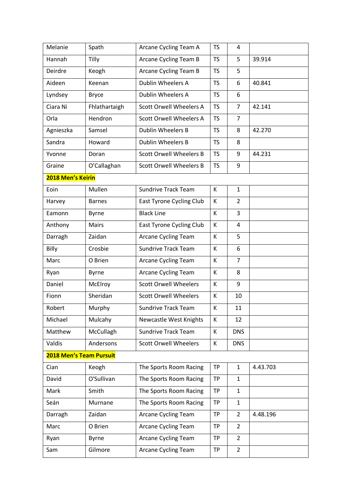| Melanie                        | Spath         | Arcane Cycling Team A           | <b>TS</b> | 4              |          |
|--------------------------------|---------------|---------------------------------|-----------|----------------|----------|
| Hannah                         | Tilly         | Arcane Cycling Team B           | <b>TS</b> | 5              | 39.914   |
| Deirdre                        | Keogh         | Arcane Cycling Team B           | <b>TS</b> | 5              |          |
| Aideen                         | Keenan        | Dublin Wheelers A               | <b>TS</b> | 6              | 40.841   |
| Lyndsey                        | <b>Bryce</b>  | Dublin Wheelers A               | <b>TS</b> | 6              |          |
| Ciara Ni                       | Fhlathartaigh | <b>Scott Orwell Wheelers A</b>  | <b>TS</b> | $\overline{7}$ | 42.141   |
| Orla                           | Hendron       | <b>Scott Orwell Wheelers A</b>  | <b>TS</b> | $\overline{7}$ |          |
| Agnieszka                      | Samsel        | Dublin Wheelers B               | <b>TS</b> | 8              | 42.270   |
| Sandra                         | Howard        | <b>Dublin Wheelers B</b>        | <b>TS</b> | 8              |          |
| Yvonne                         | Doran         | <b>Scott Orwell Wheelers B</b>  | <b>TS</b> | 9              | 44.231   |
| Graine                         | O'Callaghan   | <b>Scott Orwell Wheelers B</b>  | <b>TS</b> | 9              |          |
| 2018 Men's Keirin              |               |                                 |           |                |          |
| Eoin                           | Mullen        | <b>Sundrive Track Team</b>      | K         | $\mathbf{1}$   |          |
| Harvey                         | <b>Barnes</b> | <b>East Tyrone Cycling Club</b> | К         | $\overline{2}$ |          |
| Eamonn                         | <b>Byrne</b>  | <b>Black Line</b>               | К         | 3              |          |
| Anthony                        | Mairs         | <b>East Tyrone Cycling Club</b> | К         | 4              |          |
| Darragh                        | Zaidan        | Arcane Cycling Team             | К         | 5              |          |
| Billy                          | Crosbie       | <b>Sundrive Track Team</b>      | K         | 6              |          |
| Marc                           | O Brien       | Arcane Cycling Team             | К         | $\overline{7}$ |          |
| Ryan                           | <b>Byrne</b>  | <b>Arcane Cycling Team</b>      | К         | 8              |          |
| Daniel                         | McElroy       | <b>Scott Orwell Wheelers</b>    | К         | 9              |          |
| Fionn                          | Sheridan      | <b>Scott Orwell Wheelers</b>    | К         | 10             |          |
| Robert                         | Murphy        | <b>Sundrive Track Team</b>      | К         | 11             |          |
| Michael                        | Mulcahy       | <b>Newcastle West Knights</b>   | К         | 12             |          |
| Matthew                        | McCullagh     | <b>Sundrive Track Team</b>      | К         | <b>DNS</b>     |          |
| Valdis                         | Andersons     | <b>Scott Orwell Wheelers</b>    | К         | <b>DNS</b>     |          |
| <b>2018 Men's Team Pursuit</b> |               |                                 |           |                |          |
| Cian                           | Keogh         | The Sports Room Racing          | <b>TP</b> | $\mathbf{1}$   | 4.43.703 |
| David                          | O'Sullivan    | The Sports Room Racing          | <b>TP</b> | 1              |          |
| Mark                           | Smith         | The Sports Room Racing          | <b>TP</b> | $\mathbf{1}$   |          |
| Seán                           | Murnane       | The Sports Room Racing          | <b>TP</b> | $\mathbf{1}$   |          |
| Darragh                        | Zaidan        | <b>Arcane Cycling Team</b>      | <b>TP</b> | $\overline{2}$ | 4.48.196 |
| Marc                           | O Brien       | Arcane Cycling Team             | <b>TP</b> | $\overline{2}$ |          |
| Ryan                           | <b>Byrne</b>  | <b>Arcane Cycling Team</b>      | <b>TP</b> | $\overline{2}$ |          |
| Sam                            | Gilmore       | <b>Arcane Cycling Team</b>      | <b>TP</b> | $\overline{2}$ |          |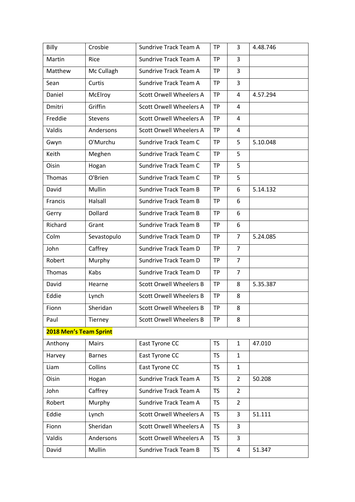| Billy                  | Crosbie        | Sundrive Track Team A          | <b>TP</b> | 3              | 4.48.746 |
|------------------------|----------------|--------------------------------|-----------|----------------|----------|
| Martin                 | Rice           | Sundrive Track Team A          | <b>TP</b> | $\overline{3}$ |          |
| Matthew                | Mc Cullagh     | Sundrive Track Team A          | <b>TP</b> | 3              |          |
| Sean                   | Curtis         | Sundrive Track Team A          | <b>TP</b> | 3              |          |
| Daniel                 | McElroy        | <b>Scott Orwell Wheelers A</b> | <b>TP</b> | 4              | 4.57.294 |
| Dmitri                 | Griffin        | <b>Scott Orwell Wheelers A</b> | <b>TP</b> | 4              |          |
| Freddie                | <b>Stevens</b> | <b>Scott Orwell Wheelers A</b> | <b>TP</b> | 4              |          |
| Valdis                 | Andersons      | <b>Scott Orwell Wheelers A</b> | <b>TP</b> | 4              |          |
| Gwyn                   | O'Murchu       | Sundrive Track Team C          | <b>TP</b> | 5              | 5.10.048 |
| Keith                  | Meghen         | Sundrive Track Team C          | <b>TP</b> | 5              |          |
| Oisin                  | Hogan          | Sundrive Track Team C          | <b>TP</b> | 5              |          |
| Thomas                 | O'Brien        | Sundrive Track Team C          | <b>TP</b> | 5              |          |
| David                  | Mullin         | <b>Sundrive Track Team B</b>   | <b>TP</b> | 6              | 5.14.132 |
| Francis                | Halsall        | <b>Sundrive Track Team B</b>   | <b>TP</b> | 6              |          |
| Gerry                  | Dollard        | <b>Sundrive Track Team B</b>   | <b>TP</b> | 6              |          |
| Richard                | Grant          | <b>Sundrive Track Team B</b>   | <b>TP</b> | 6              |          |
| Colm                   | Sevastopulo    | Sundrive Track Team D          | <b>TP</b> | $\overline{7}$ | 5.24.085 |
| John                   | Caffrey        | Sundrive Track Team D          | <b>TP</b> | $\overline{7}$ |          |
| Robert                 | Murphy         | Sundrive Track Team D          | <b>TP</b> | $\overline{7}$ |          |
| Thomas                 | Kabs           | Sundrive Track Team D          | <b>TP</b> | $\overline{7}$ |          |
| David                  | Hearne         | <b>Scott Orwell Wheelers B</b> | <b>TP</b> | 8              | 5.35.387 |
| Eddie                  | Lynch          | <b>Scott Orwell Wheelers B</b> | <b>TP</b> | 8              |          |
| Fionn                  | Sheridan       | <b>Scott Orwell Wheelers B</b> | <b>TP</b> | 8              |          |
| Paul                   | Tierney        | <b>Scott Orwell Wheelers B</b> | <b>TP</b> | 8              |          |
| 2018 Men's Team Sprint |                |                                |           |                |          |
| Anthony                | <b>Mairs</b>   | East Tyrone CC                 | <b>TS</b> | $\mathbf{1}$   | 47.010   |
| Harvey                 | <b>Barnes</b>  | East Tyrone CC                 | <b>TS</b> | $\mathbf{1}$   |          |
| Liam                   | Collins        | East Tyrone CC                 | <b>TS</b> | $\mathbf{1}$   |          |
| Oisin                  | Hogan          | Sundrive Track Team A          | <b>TS</b> | $\overline{2}$ | 50.208   |
| John                   | Caffrey        | Sundrive Track Team A          | <b>TS</b> | $\overline{2}$ |          |
| Robert                 | Murphy         | Sundrive Track Team A          | <b>TS</b> | $\overline{2}$ |          |
| Eddie                  | Lynch          | <b>Scott Orwell Wheelers A</b> | <b>TS</b> | 3              | 51.111   |
| Fionn                  | Sheridan       | <b>Scott Orwell Wheelers A</b> | TS.       | 3              |          |
| Valdis                 | Andersons      | <b>Scott Orwell Wheelers A</b> | <b>TS</b> | 3              |          |
| David                  | Mullin         | <b>Sundrive Track Team B</b>   | TS.       | 4              | 51.347   |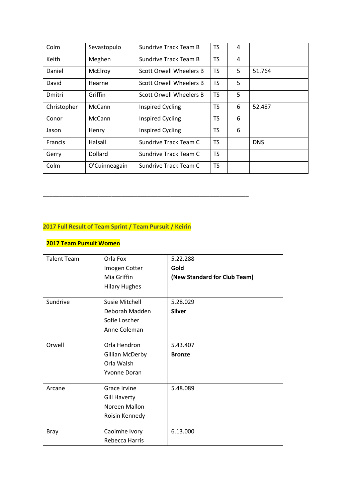| Colm           | Sevastopulo   | <b>Sundrive Track Team B</b>   | <b>TS</b> | 4 |            |
|----------------|---------------|--------------------------------|-----------|---|------------|
| Keith          | Meghen        | Sundrive Track Team B          | <b>TS</b> | 4 |            |
| Daniel         | McElroy       | Scott Orwell Wheelers B        | <b>TS</b> | 5 | 51.764     |
| David          | Hearne        | Scott Orwell Wheelers B        | <b>TS</b> | 5 |            |
| Dmitri         | Griffin       | <b>Scott Orwell Wheelers B</b> | <b>TS</b> | 5 |            |
| Christopher    | <b>McCann</b> | <b>Inspired Cycling</b>        | <b>TS</b> | 6 | 52.487     |
| Conor          | McCann        | <b>Inspired Cycling</b>        | <b>TS</b> | 6 |            |
| Jason          | Henry         | <b>Inspired Cycling</b>        | <b>TS</b> | 6 |            |
| <b>Francis</b> | Halsall       | Sundrive Track Team C          | <b>TS</b> |   | <b>DNS</b> |
| Gerry          | Dollard       | Sundrive Track Team C          | <b>TS</b> |   |            |
| Colm           | O'Cuinneagain | Sundrive Track Team C          | <b>TS</b> |   |            |

## **2017 Full Result of Team Sprint / Team Pursuit / Keirin**

**\_\_\_\_\_\_\_\_\_\_\_\_\_\_\_\_\_\_\_\_\_\_\_\_\_\_\_\_\_\_\_\_\_\_\_\_\_\_\_\_\_\_\_\_\_\_\_\_\_\_\_\_\_\_\_\_\_\_\_\_\_\_\_**

| <b>2017 Team Pursuit Women</b> |                        |                              |
|--------------------------------|------------------------|------------------------------|
| <b>Talent Team</b>             | Orla Fox               | 5.22.288                     |
|                                | Imogen Cotter          | Gold                         |
|                                | Mia Griffin            | (New Standard for Club Team) |
|                                | <b>Hilary Hughes</b>   |                              |
| Sundrive                       | Susie Mitchell         | 5.28.029                     |
|                                | Deborah Madden         | <b>Silver</b>                |
|                                | Sofie Loscher          |                              |
|                                | Anne Coleman           |                              |
| Orwell                         | Orla Hendron           | 5.43.407                     |
|                                | <b>Gillian McDerby</b> | <b>Bronze</b>                |
|                                | Orla Walsh             |                              |
|                                | Yvonne Doran           |                              |
| Arcane                         | Grace Irvine           | 5.48.089                     |
|                                | <b>Gill Haverty</b>    |                              |
|                                | Noreen Mallon          |                              |
|                                | Roisin Kennedy         |                              |
| <b>Bray</b>                    | Caoimhe Ivory          | 6.13.000                     |
|                                | Rebecca Harris         |                              |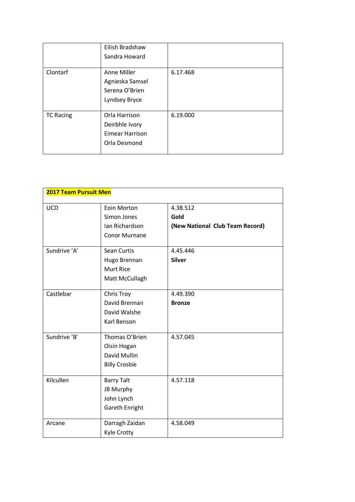|                  | Eilish Bradshaw<br>Sandra Howard                                          |          |
|------------------|---------------------------------------------------------------------------|----------|
| Clontarf         | Anne Miller<br>Agnieska Samsel<br>Serena O'Brien<br>Lyndsey Bryce         | 6.17.468 |
| <b>TC Racing</b> | Orla Harrison<br>Deirbhle Ivory<br><b>Eimear Harrison</b><br>Orla Desmond | 6.19.000 |

| <b>2017 Team Pursuit Men</b> |                                                                       |                                                     |  |
|------------------------------|-----------------------------------------------------------------------|-----------------------------------------------------|--|
| <b>UCD</b>                   | Eoin Morton<br>Simon Jones<br>Ian Richardson<br><b>Conor Murnane</b>  | 4.38.512<br>Gold<br>(New National Club Team Record) |  |
| Sundrive 'A'                 | Sean Curtis<br>Hugo Brennan<br><b>Murt Rice</b><br>Matt McCullagh     | 4.45.446<br><b>Silver</b>                           |  |
| Castlebar                    | Chris Troy<br>David Brennan<br>David Walshe<br>Karl Benson            | 4.49.390<br><b>Bronze</b>                           |  |
| Sundrive 'B'                 | Thomas O'Brien<br>Oisin Hogan<br>David Mullin<br><b>Billy Crosbie</b> | 4.57.045                                            |  |
| Kilcullen                    | <b>Barry Talt</b><br>JB Murphy<br>John Lynch<br>Gareth Enright        | 4.57.118                                            |  |
| Arcane                       | Darragh Zaidan<br>Kyle Crotty                                         | 4.58.049                                            |  |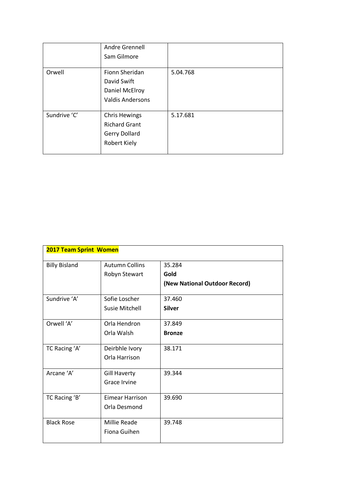|              | Andre Grennell<br>Sam Gilmore                                                 |          |
|--------------|-------------------------------------------------------------------------------|----------|
| Orwell       | Fionn Sheridan<br>David Swift<br>Daniel McElroy<br><b>Valdis Andersons</b>    | 5.04.768 |
| Sundrive 'C' | <b>Chris Hewings</b><br><b>Richard Grant</b><br>Gerry Dollard<br>Robert Kiely | 5.17.681 |

| <b>2017 Team Sprint Women</b> |                        |                               |
|-------------------------------|------------------------|-------------------------------|
| <b>Billy Bisland</b>          | <b>Autumn Collins</b>  | 35.284                        |
|                               | Robyn Stewart          | Gold                          |
|                               |                        | (New National Outdoor Record) |
| Sundrive 'A'                  | Sofie Loscher          | 37.460                        |
|                               | Susie Mitchell         | <b>Silver</b>                 |
| Orwell 'A'                    | Orla Hendron           | 37.849                        |
|                               | Orla Walsh             | <b>Bronze</b>                 |
| TC Racing 'A'                 | Deirbhle Ivory         | 38.171                        |
|                               | Orla Harrison          |                               |
| Arcane 'A'                    | <b>Gill Haverty</b>    | 39.344                        |
|                               | Grace Irvine           |                               |
| TC Racing 'B'                 | <b>Eimear Harrison</b> | 39.690                        |
|                               | Orla Desmond           |                               |
| <b>Black Rose</b>             | <b>Millie Reade</b>    | 39.748                        |
|                               | Fiona Guihen           |                               |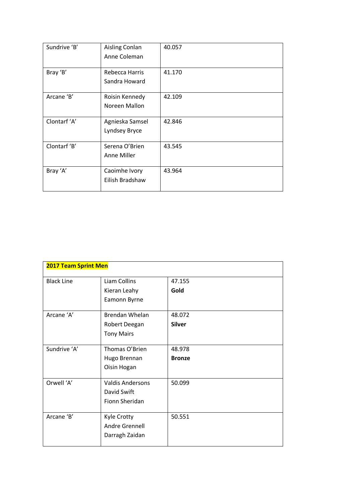| Sundrive 'B' | Aisling Conlan<br>Anne Coleman   | 40.057 |
|--------------|----------------------------------|--------|
| Bray 'B'     | Rebecca Harris<br>Sandra Howard  | 41.170 |
| Arcane 'B'   | Roisin Kennedy<br>Noreen Mallon  | 42.109 |
| Clontarf 'A' | Agnieska Samsel<br>Lyndsey Bryce | 42.846 |
| Clontarf 'B' | Serena O'Brien<br>Anne Miller    | 43.545 |
| Bray 'A'     | Caoimhe Ivory<br>Eilish Bradshaw | 43.964 |

| <b>2017 Team Sprint Men</b> |                         |               |
|-----------------------------|-------------------------|---------------|
| <b>Black Line</b>           | Liam Collins            | 47.155        |
|                             | Kieran Leahy            | Gold          |
|                             | Eamonn Byrne            |               |
| Arcane 'A'                  | <b>Brendan Whelan</b>   | 48.072        |
|                             | Robert Deegan           | <b>Silver</b> |
|                             | <b>Tony Mairs</b>       |               |
| Sundrive 'A'                | Thomas O'Brien          | 48.978        |
|                             | Hugo Brennan            | <b>Bronze</b> |
|                             | Oisin Hogan             |               |
| Orwell 'A'                  | <b>Valdis Andersons</b> | 50.099        |
|                             | David Swift             |               |
|                             | Fionn Sheridan          |               |
| Arcane 'B'                  | Kyle Crotty             | 50.551        |
|                             | Andre Grennell          |               |
|                             | Darragh Zaidan          |               |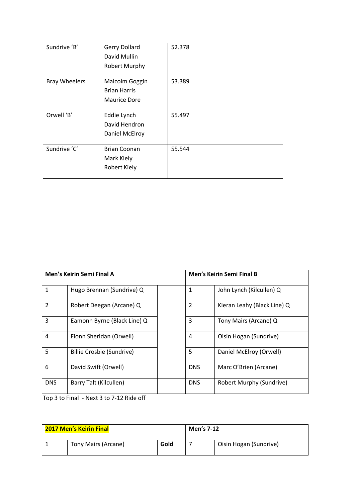| Sundrive 'B'         | <b>Gerry Dollard</b><br>David Mullin<br><b>Robert Murphy</b> | 52.378 |
|----------------------|--------------------------------------------------------------|--------|
| <b>Bray Wheelers</b> | Malcolm Goggin<br><b>Brian Harris</b><br><b>Maurice Dore</b> | 53.389 |
| Orwell 'B'           | Eddie Lynch<br>David Hendron<br>Daniel McElroy               | 55.497 |
| Sundrive 'C'         | <b>Brian Coonan</b><br>Mark Kiely<br>Robert Kiely            | 55.544 |

| Men's Keirin Semi Final A |                             |                | <b>Men's Keirin Semi Final B</b> |
|---------------------------|-----------------------------|----------------|----------------------------------|
| 1                         | Hugo Brennan (Sundrive) Q   | 1              | John Lynch (Kilcullen) Q         |
| $\mathcal{P}$             | Robert Deegan (Arcane) Q    | $\overline{2}$ | Kieran Leahy (Black Line) Q      |
| 3                         | Eamonn Byrne (Black Line) Q | 3              | Tony Mairs (Arcane) Q            |
| $\overline{4}$            | Fionn Sheridan (Orwell)     | 4              | Oisin Hogan (Sundrive)           |
| 5                         | Billie Crosbie (Sundrive)   | 5              | Daniel McElroy (Orwell)          |
| 6                         | David Swift (Orwell)        | <b>DNS</b>     | Marc O'Brien (Arcane)            |
| <b>DNS</b>                | Barry Talt (Kilcullen)      | <b>DNS</b>     | Robert Murphy (Sundrive)         |

Top 3 to Final - Next 3 to 7-12 Ride off

| 2017 Men's Keirin Final |                     | Men's 7-12 |  |                        |
|-------------------------|---------------------|------------|--|------------------------|
|                         | Tony Mairs (Arcane) | Gold       |  | Oisin Hogan (Sundrive) |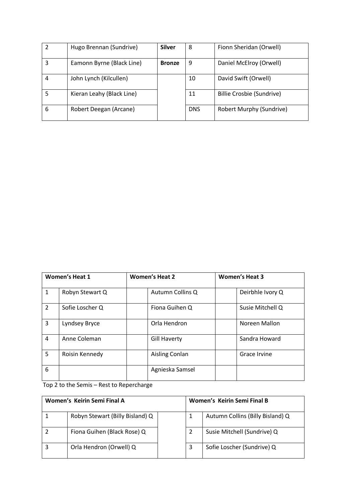|   | Hugo Brennan (Sundrive)   | <b>Silver</b> | 8          | Fionn Sheridan (Orwell)         |
|---|---------------------------|---------------|------------|---------------------------------|
|   | Eamonn Byrne (Black Line) | <b>Bronze</b> | 9          | Daniel McElroy (Orwell)         |
| 4 | John Lynch (Kilcullen)    |               | 10         | David Swift (Orwell)            |
|   | Kieran Leahy (Black Line) |               | 11         | Billie Crosbie (Sundrive)       |
| 6 | Robert Deegan (Arcane)    |               | <b>DNS</b> | <b>Robert Murphy (Sundrive)</b> |

| <b>Women's Heat 1</b> |                 | <b>Women's Heat 2</b> | <b>Women's Heat 3</b> |  |
|-----------------------|-----------------|-----------------------|-----------------------|--|
| $\mathbf{1}$          | Robyn Stewart Q | Autumn Collins Q      | Deirbhle Ivory Q      |  |
| $\overline{2}$        | Sofie Loscher Q | Fiona Guihen Q        | Susie Mitchell Q      |  |
| 3                     | Lyndsey Bryce   | Orla Hendron          | Noreen Mallon         |  |
| 4                     | Anne Coleman    | <b>Gill Haverty</b>   | Sandra Howard         |  |
| 5                     | Roisin Kennedy  | Aisling Conlan        | Grace Irvine          |  |
| 6                     |                 | Agnieska Samsel       |                       |  |

Top 2 to the Semis – Rest to Repercharge

| Women's Keirin Semi Final A |                                 | Women's Keirin Semi Final B |   |                                  |
|-----------------------------|---------------------------------|-----------------------------|---|----------------------------------|
|                             | Robyn Stewart (Billy Bisland) Q |                             | 1 | Autumn Collins (Billy Bisland) Q |
|                             | Fiona Guihen (Black Rose) Q     |                             |   | Susie Mitchell (Sundrive) Q      |
|                             | Orla Hendron (Orwell) Q         |                             | 3 | Sofie Loscher (Sundrive) Q       |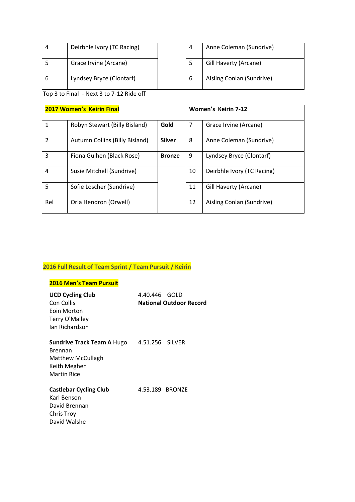| $\overline{A}$ | Deirbhle Ivory (TC Racing) | 4 | Anne Coleman (Sundrive)   |
|----------------|----------------------------|---|---------------------------|
|                | Grace Irvine (Arcane)      |   | Gill Haverty (Arcane)     |
| b              | Lyndsey Bryce (Clontarf)   | b | Aisling Conlan (Sundrive) |

Top 3 to Final - Next 3 to 7-12 Ride off

| 2017 Women's Keirin Final |                                |               | <b>Women's Keirin 7-12</b> |                            |
|---------------------------|--------------------------------|---------------|----------------------------|----------------------------|
| $\mathbf{1}$              | Robyn Stewart (Billy Bisland)  | Gold          | 7                          | Grace Irvine (Arcane)      |
| $\overline{2}$            | Autumn Collins (Billy Bisland) | <b>Silver</b> | 8                          | Anne Coleman (Sundrive)    |
| 3                         | Fiona Guihen (Black Rose)      | <b>Bronze</b> | 9                          | Lyndsey Bryce (Clontarf)   |
| $\overline{4}$            | Susie Mitchell (Sundrive)      |               | 10                         | Deirbhle Ivory (TC Racing) |
| 5                         | Sofie Loscher (Sundrive)       |               | 11                         | Gill Haverty (Arcane)      |
| Rel                       | Orla Hendron (Orwell)          |               | 12                         | Aisling Conlan (Sundrive)  |

# **2016 Full Result of Team Sprint / Team Pursuit / Keirin**

## **2016 Men's Team Pursuit**

| <b>UCD Cycling Club</b>           | 4.40.446 GOLD   |                                |
|-----------------------------------|-----------------|--------------------------------|
| Con Collis                        |                 | <b>National Outdoor Record</b> |
| Eoin Morton                       |                 |                                |
| Terry O'Malley                    |                 |                                |
| Jan Richardson                    |                 |                                |
| <b>Sundrive Track Team A Hugo</b> | 4.51.256 SILVER |                                |
| Brennan                           |                 |                                |
| <b>Matthew McCullagh</b>          |                 |                                |
| Keith Meghen                      |                 |                                |
| <b>Martin Rice</b>                |                 |                                |
| <b>Castlebar Cycling Club</b>     | 4.53.189 BRONZE |                                |
| Karl Benson                       |                 |                                |
| David Brennan                     |                 |                                |
| Chris Troy                        |                 |                                |
| David Walshe                      |                 |                                |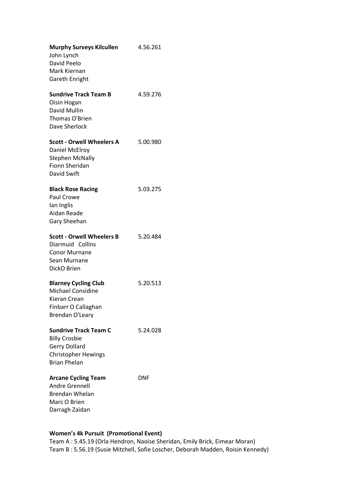| <b>Murphy Surveys Kilcullen</b><br>John Lynch     | 4.56.261 |
|---------------------------------------------------|----------|
| David Peelo                                       |          |
| Mark Kiernan                                      |          |
| <b>Gareth Enright</b>                             |          |
|                                                   |          |
| <b>Sundrive Track Team B</b>                      | 4.59.276 |
| Oisin Hogan                                       |          |
| David Mullin                                      |          |
| Thomas O'Brien                                    |          |
| Dave Sherlock                                     |          |
| <b>Scott - Orwell Wheelers A</b>                  | 5.00.980 |
| Daniel McElroy                                    |          |
| <b>Stephen McNally</b>                            |          |
| <b>Fionn Sheridan</b>                             |          |
| David Swift                                       |          |
|                                                   |          |
| <b>Black Rose Racing</b>                          | 5.03.275 |
| Paul Crowe                                        |          |
| lan Inglis                                        |          |
| Aidan Reade                                       |          |
| Gary Sheehan                                      |          |
|                                                   |          |
|                                                   |          |
| <b>Scott - Orwell Wheelers B</b>                  | 5.20.484 |
| Diarmuid Collins                                  |          |
| <b>Conor Murnane</b>                              |          |
| Sean Murnane                                      |          |
| DickO Brien                                       |          |
| <b>Blarney Cycling Club</b>                       | 5.20.513 |
| <b>Michael Considine</b>                          |          |
| <b>Kieran Crean</b>                               |          |
| Finbarr O Callaghan                               |          |
| Brendan O'Leary                                   |          |
|                                                   |          |
| <b>Sundrive Track Team C</b>                      | 5.24.028 |
| <b>Billy Crosbie</b>                              |          |
| Gerry Dollard                                     |          |
| <b>Christopher Hewings</b><br><b>Brian Phelan</b> |          |
|                                                   |          |
| <b>Arcane Cycling Team</b>                        | DNF      |
| <b>Andre Grennell</b>                             |          |
| <b>Brendan Whelan</b>                             |          |
| Marc O Brien                                      |          |

## **Women's 4k Pursuit (Promotional Event)**

Team A : 5.45.19 (Orla Hendron, Naoise Sheridan, Emily Brick, Eimear Moran) Team B : 5.56.19 (Susie Mitchell, Sofie Loscher, Deborah Madden, Roisin Kennedy)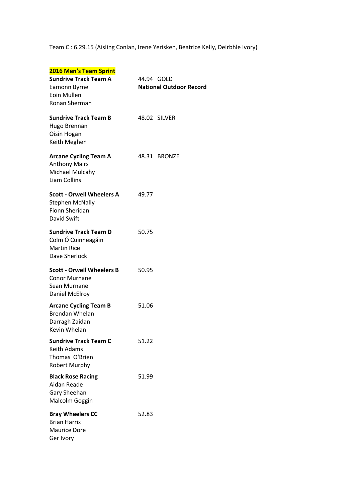Team C : 6.29.15 (Aisling Conlan, Irene Yerisken, Beatrice Kelly, Deirbhle Ivory)

| 2016 Men's Team Sprint<br><b>Sundrive Track Team A</b><br>Eamonn Byrne<br>Eoin Mullen<br>Ronan Sherman | 44.94 GOLD<br><b>National Outdoor Record</b> |
|--------------------------------------------------------------------------------------------------------|----------------------------------------------|
| <b>Sundrive Track Team B</b><br>Hugo Brennan<br>Oisin Hogan<br>Keith Meghen                            | 48.02 SILVER                                 |
| <b>Arcane Cycling Team A</b><br><b>Anthony Mairs</b><br>Michael Mulcahy<br>Liam Collins                | 48.31 BRONZE                                 |
| <b>Scott - Orwell Wheelers A</b><br><b>Stephen McNally</b><br>Fionn Sheridan<br>David Swift            | 49.77                                        |
| <b>Sundrive Track Team D</b><br>Colm Ó Cuinneagáin<br><b>Martin Rice</b><br>Dave Sherlock              | 50.75                                        |
| <b>Scott - Orwell Wheelers B</b><br><b>Conor Murnane</b><br>Sean Murnane<br>Daniel McElroy             | 50.95                                        |
| <b>Arcane Cycling Team B</b><br><b>Brendan Whelan</b><br>Darragh Zaidan<br>Kevin Whelan                | 51.06                                        |
| <b>Sundrive Track Team C</b><br>Keith Adams<br>Thomas O'Brien<br><b>Robert Murphy</b>                  | 51.22                                        |
| <b>Black Rose Racing</b><br>Aidan Reade<br>Gary Sheehan<br>Malcolm Goggin                              | 51.99                                        |
| <b>Bray Wheelers CC</b><br><b>Brian Harris</b><br><b>Maurice Dore</b><br>Ger Ivory                     | 52.83                                        |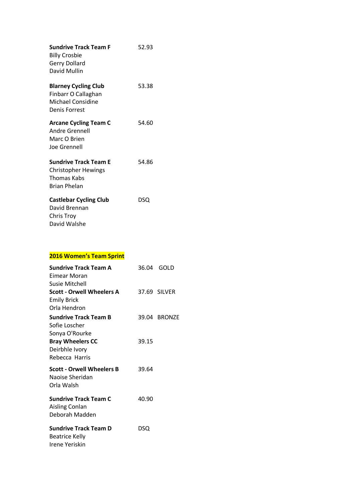| <b>Sundrive Track Team F</b><br><b>Billy Crosbie</b><br><b>Gerry Dollard</b><br>David Mullin     | 52.93 |
|--------------------------------------------------------------------------------------------------|-------|
| <b>Blarney Cycling Club</b><br>Finbarr O Callaghan<br>Michael Considine<br><b>Denis Forrest</b>  | 53.38 |
| <b>Arcane Cycling Team C</b><br><b>Andre Grennell</b><br>Marc O Brien<br>Joe Grennell            | 54.60 |
| <b>Sundrive Track Team F</b><br><b>Christopher Hewings</b><br>Thomas Kabs<br><b>Brian Phelan</b> | 54.86 |
| <b>Castlebar Cycling Club</b><br>David Brennan<br><b>Chris Troy</b><br>David Walshe              | DSQ   |

# **2016 Women's Team Sprint**

| Sundrive Track Team A            | 36.04 | GOLD         |
|----------------------------------|-------|--------------|
| Eimear Moran                     |       |              |
| Susie Mitchell                   |       |              |
| <b>Scott - Orwell Wheelers A</b> |       | 37.69 SILVER |
| <b>Emily Brick</b>               |       |              |
| Orla Hendron                     |       |              |
| <b>Sundrive Track Team B</b>     |       | 39.04 BRONZE |
| Sofie Loscher                    |       |              |
| Sonya O'Rourke                   |       |              |
| <b>Bray Wheelers CC</b>          | 39.15 |              |
| Deirbhle Ivory                   |       |              |
| Rebecca Harris                   |       |              |
| <b>Scott - Orwell Wheelers B</b> | 39.64 |              |
| Naoise Sheridan                  |       |              |
| Orla Walsh                       |       |              |
| <b>Sundrive Track Team C</b>     | 40.90 |              |
| Aisling Conlan                   |       |              |
| Deborah Madden                   |       |              |
|                                  |       |              |
| <b>Sundrive Track Team D</b>     | DSQ   |              |
| <b>Beatrice Kelly</b>            |       |              |
| Irene Yeriskin                   |       |              |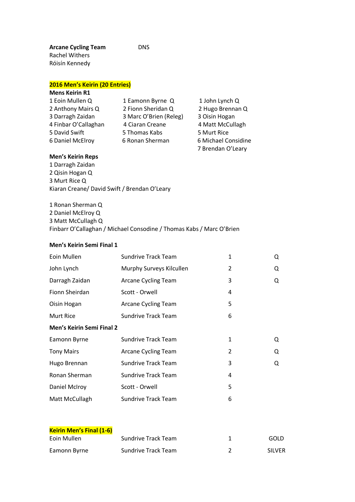# **2016 Men's Keirin (20 Entries)**

| <b>Mens Keirin R1</b> |                        |                     |
|-----------------------|------------------------|---------------------|
| 1 Eoin Mullen Q       | 1 Eamonn Byrne Q       | 1 John Lynch Q      |
| 2 Anthony Mairs Q     | 2 Fionn Sheridan Q     | 2 Hugo Brennan Q    |
| 3 Darragh Zaidan      | 3 Marc O'Brien (Releg) | 3 Oisin Hogan       |
| 4 Finbar O'Callaghan  | 4 Ciaran Creane        | 4 Matt McCullagh    |
| 5 David Swift         | 5 Thomas Kabs          | 5 Murt Rice         |
| 6 Daniel McElroy      | 6 Ronan Sherman        | 6 Michael Considine |
|                       |                        | 7 Brendan O'Leary   |

DNS

## **Men's Keirin Reps**

1 Darragh Zaidan 2 Qisin Hogan Q 3 Murt Rice Q Kiaran Creane/ David Swift / Brendan O'Leary

1 Ronan Sherman Q 2 Daniel McElroy Q 3 Matt McCullagh Q Finbarr O'Callaghan / Michael Consodine / Thomas Kabs / Marc O'Brien

#### **Men's Keirin Semi Final 1**

| Eoin Mullen                      | <b>Sundrive Track Team</b> | 1            | Q |
|----------------------------------|----------------------------|--------------|---|
| John Lynch                       | Murphy Surveys Kilcullen   | 2            | Q |
| Darragh Zaidan                   | Arcane Cycling Team        | 3            | Q |
| Fionn Sheirdan                   | Scott - Orwell             | 4            |   |
| Oisin Hogan                      | <b>Arcane Cycling Team</b> | 5            |   |
| <b>Murt Rice</b>                 | <b>Sundrive Track Team</b> | 6            |   |
| <b>Men's Keirin Semi Final 2</b> |                            |              |   |
| Eamonn Byrne                     | <b>Sundrive Track Team</b> | $\mathbf{1}$ | Q |
| <b>Tony Mairs</b>                | Arcane Cycling Team        | 2            | Q |
| Hugo Brennan                     | <b>Sundrive Track Team</b> | 3            | Q |
| Ronan Sherman                    | <b>Sundrive Track Team</b> | 4            |   |
| Daniel McIroy                    | Scott - Orwell             | 5            |   |
| Matt McCullagh                   | <b>Sundrive Track Team</b> | 6            |   |
|                                  |                            |              |   |

| <b>Keirin Men's Final (1-6)</b> |                     |               |
|---------------------------------|---------------------|---------------|
| Eoin Mullen                     | Sundrive Track Team | GOLD          |
| Eamonn Byrne                    | Sundrive Track Team | <b>SILVER</b> |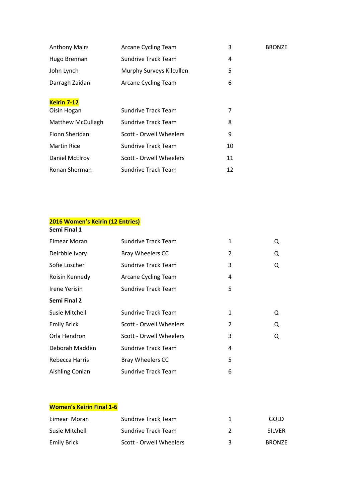| <b>Anthony Mairs</b>     | Arcane Cycling Team        | 3  | <b>BRONZE</b> |
|--------------------------|----------------------------|----|---------------|
| Hugo Brennan             | Sundrive Track Team        | 4  |               |
| John Lynch               | Murphy Surveys Kilcullen   | 5  |               |
| Darragh Zaidan           | Arcane Cycling Team        | 6  |               |
|                          |                            |    |               |
| <b>Keirin 7-12</b>       |                            |    |               |
| Oisin Hogan              | <b>Sundrive Track Team</b> | 7  |               |
| <b>Matthew McCullagh</b> | <b>Sundrive Track Team</b> | 8  |               |
| Fionn Sheridan           | Scott - Orwell Wheelers    | 9  |               |
| <b>Martin Rice</b>       | <b>Sundrive Track Team</b> | 10 |               |
| Daniel McElroy           | Scott - Orwell Wheelers    | 11 |               |
| Ronan Sherman            | <b>Sundrive Track Team</b> | 12 |               |

## **2016 Women's Keirin (12 Entries) Semi Final 1**

| Eimear Moran        | <b>Sundrive Track Team</b> | $\mathbf{1}$   | Q |
|---------------------|----------------------------|----------------|---|
| Deirbhle Ivory      | Bray Wheelers CC           | 2              | Q |
| Sofie Loscher       | <b>Sundrive Track Team</b> | 3              | Q |
| Roisin Kennedy      | Arcane Cycling Team        | 4              |   |
| Irene Yerisin       | Sundrive Track Team        | 5              |   |
| <b>Semi Final 2</b> |                            |                |   |
| Susie Mitchell      | <b>Sundrive Track Team</b> | 1              | Q |
| <b>Emily Brick</b>  | Scott - Orwell Wheelers    | $\overline{2}$ | Q |
| Orla Hendron        | Scott - Orwell Wheelers    | 3              | Q |
| Deborah Madden      | Sundrive Track Team        | 4              |   |
| Rebecca Harris      | Bray Wheelers CC           | 5              |   |
| Aishling Conlan     | <b>Sundrive Track Team</b> | 6              |   |

#### **Women's Keirin Final 1-6**

| Eimear Moran       | Sundrive Track Team     |   | GOLD          |
|--------------------|-------------------------|---|---------------|
| Susie Mitchell     | Sundrive Track Team     |   | <b>SILVER</b> |
| <b>Emily Brick</b> | Scott - Orwell Wheelers | ₹ | <b>BRONZE</b> |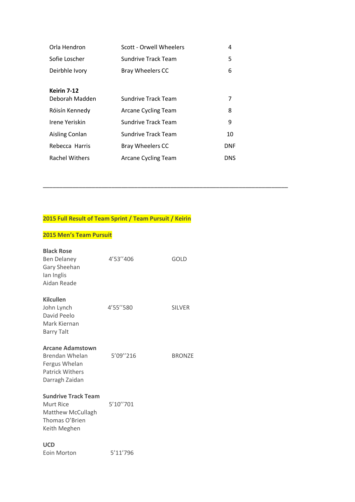| Orla Hendron                  | Scott - Orwell Wheelers | 4   |
|-------------------------------|-------------------------|-----|
| Sofie Loscher                 | Sundrive Track Team     | 5   |
| Deirbhle Ivory                | <b>Bray Wheelers CC</b> | 6   |
| Keirin 7-12<br>Deborah Madden | Sundrive Track Team     | 7   |
| Róisín Kennedy                | Arcane Cycling Team     | 8   |
| Irene Yeriskin                | Sundrive Track Team     | 9   |
| Aisling Conlan                | Sundrive Track Team     | 10  |
| Rebecca Harris                | <b>Bray Wheelers CC</b> | DNF |
| <b>Rachel Withers</b>         | Arcane Cycling Team     | DNS |

**\_\_\_\_\_\_\_\_\_\_\_\_\_\_\_\_\_\_\_\_\_\_\_\_\_\_\_\_\_\_\_\_\_\_\_\_\_\_\_\_\_\_\_\_\_\_\_\_\_\_\_\_\_\_\_\_\_\_\_\_\_\_\_\_\_\_\_\_\_\_\_\_\_\_\_**

## **2015 Full Result of Team Sprint / Team Pursuit / Keirin**

## **2015 Men's Team Pursuit**

| <b>Black Rose</b><br><b>Ben Delaney</b><br>Gary Sheehan<br>lan Inglis<br>Aidan Reade                          | 4'53"406 | GOLD          |
|---------------------------------------------------------------------------------------------------------------|----------|---------------|
| <b>Kilcullen</b><br>John Lynch<br>David Peelo<br>Mark Kiernan<br><b>Barry Talt</b>                            | 4'55"580 | <b>SILVER</b> |
| <b>Arcane Adamstown</b><br><b>Brendan Whelan</b><br>Fergus Whelan<br><b>Patrick Withers</b><br>Darragh Zaidan | 5'09"216 | <b>BRONZE</b> |
| <b>Sundrive Track Team</b><br>Murt Rice<br>Matthew McCullagh<br>Thomas O'Brien<br>Keith Meghen                | 5'10"701 |               |
| <b>UCD</b><br><b>Eoin Morton</b>                                                                              | 5'11'796 |               |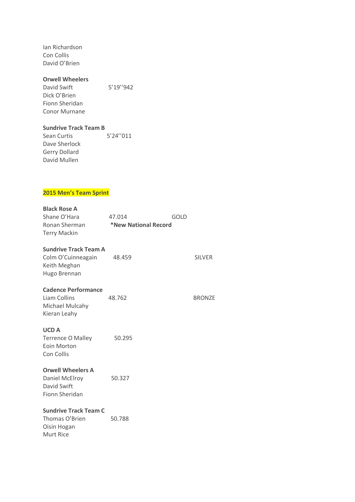Ian Richardson Con Collis David O'Brien

#### **Orwell Wheelers**

David Swift 5'19"942 Dick O'Brien Fionn Sheridan Conor Murnane

#### **Sundrive Track Team B**

Sean Curtis 5'24"011 Dave Sherlock Gerry Dollard David Mullen

## **2015 Men's Team Sprint**

## **Black Rose A**

| Shane O'Hara        | 47.014               | GOLD |
|---------------------|----------------------|------|
| Ronan Sherman       | *New National Record |      |
| <b>Terry Mackin</b> |                      |      |

#### **Sundrive Track Team A**

Colm O'Cuinneagain 48.459 SILVER Keith Meghan Hugo Brennan

#### **Cadence Performance**

Liam Collins 48.762 BRONZE Michael Mulcahy Kieran Leahy

#### **UCD A**

Terrence O Malley 50.295 Eoin Morton Con Collis

#### **Orwell Wheelers A**

Daniel McElroy 50.327 David Swift Fionn Sheridan

#### **Sundrive Track Team C**

Thomas O'Brien 50.788 Oisin Hogan Murt Rice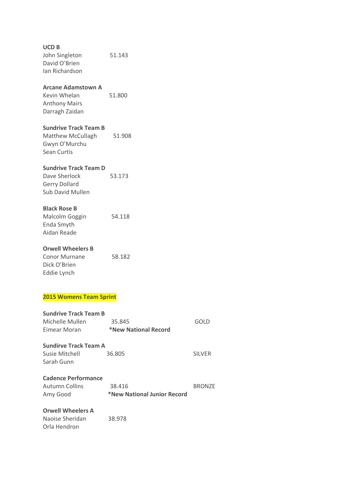**UCD B** John Singleton 51.143 David O'Brien Ian Richardson **Arcane Adamstown A** Kevin Whelan 51.800 Anthony Mairs Darragh Zaidan **Sundrive Track Team B** Matthew McCullagh 51.908 Gwyn O'Murchu Sean Curtis **Sundrive Track Team D** Dave Sherlock 53.173 Gerry Dollard Sub David Mullen **Black Rose B** Malcolm Goggin 54.118 Enda Smyth Aidan Reade **Orwell Wheelers B** Conor Murnane 58.182 Dick O'Brien Eddie Lynch **2015 Womens Team Sprint Sundrive Track Team B** Michelle Mullen 35.845 GOLD Eimear Moran **\*New National Record Sundirve Track Team A** Susie Mitchell 36.805 SILVER Sarah Gunn **Cadence Performance** Autumn Collins 38.416 BRONZE Amy Good **\*New National Junior Record Orwell Wheelers A**

Naoise Sheridan 38.978 Orla Hendron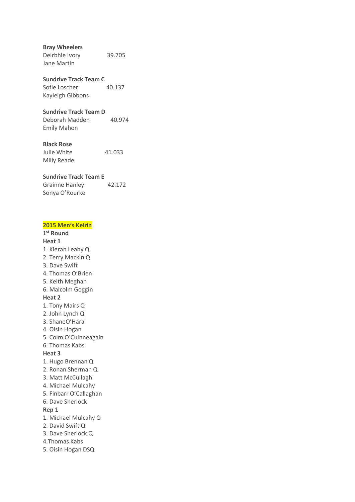**Bray Wheelers**

Deirbhle Ivory 39.705 Jane Martin

#### **Sundrive Track Team C** Sofie Loscher 40.137

Kayleigh Gibbons

#### **Sundrive Track Team D**

Deborah Madden 40.974 Emily Mahon

#### **Black Rose**

Julie White 41.033 Milly Reade

## **Sundrive Track Team E**

Grainne Hanley 42.172 Sonya O'Rourke

## **2015 Men's Keirin**

**1 st Round Heat 1** 1. Kieran Leahy Q 2. Terry Mackin Q 3. Dave Swift 4. Thomas O'Brien 5. Keith Meghan 6. Malcolm Goggin **Heat 2** 1. Tony Mairs Q 2. John Lynch Q 3. ShaneO'Hara 4. Oisin Hogan 5. Colm O'Cuinneagain 6. Thomas Kabs **Heat 3** 1. Hugo Brennan Q 2. Ronan Sherman Q 3. Matt McCullagh 4. Michael Mulcahy 5. Finbarr O'Callaghan 6. Dave Sherlock **Rep 1** 1. Michael Mulcahy Q 2. David Swift Q 3. Dave Sherlock Q 4.Thomas Kabs 5. Oisin Hogan DSQ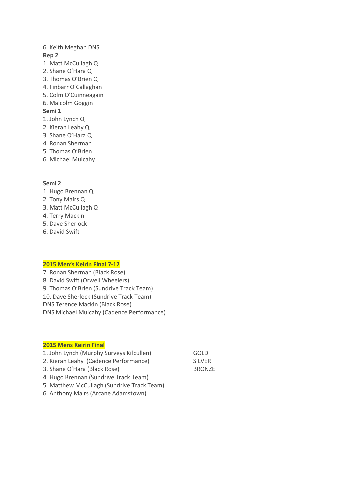#### 6. Keith Meghan DNS **Rep 2**

- 1. Matt McCullagh Q
- 2. Shane O'Hara Q
- 3. Thomas O'Brien Q
- 4. Finbarr O'Callaghan
- 5. Colm O'Cuinneagain
- 6. Malcolm Goggin

#### **Semi 1**

- 1. John Lynch Q
- 2. Kieran Leahy Q
- 3. Shane O'Hara Q
- 4. Ronan Sherman
- 5. Thomas O'Brien
- 6. Michael Mulcahy

#### **Semi 2**

- 1. Hugo Brennan Q
- 2. Tony Mairs Q
- 3. Matt McCullagh Q
- 4. Terry Mackin
- 5. Dave Sherlock
- 6. David Swift

#### **2015 Men's Keirin Final 7-12**

7. Ronan Sherman (Black Rose) 8. David Swift (Orwell Wheelers) 9. Thomas O'Brien (Sundrive Track Team) 10. Dave Sherlock (Sundrive Track Team) DNS Terence Mackin (Black Rose) DNS Michael Mulcahy (Cadence Performance)

#### **2015 Mens Keirin Final**

- 1. John Lynch (Murphy Surveys Kilcullen) GOLD 2. Kieran Leahy (Cadence Performance) SILVER 3. Shane O'Hara (Black Rose) BRONZE
- 4. Hugo Brennan (Sundrive Track Team)
- 5. Matthew McCullagh (Sundrive Track Team)
- 6. Anthony Mairs (Arcane Adamstown)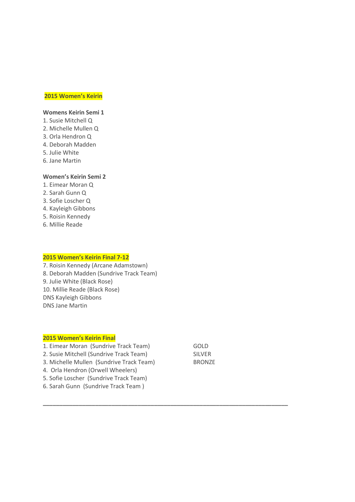#### **2015 Women's Keirin**

#### **Womens Keirin Semi 1**

- 1. Susie Mitchell Q
- 2. Michelle Mullen Q
- 3. Orla Hendron Q
- 4. Deborah Madden
- 5. Julie White
- 6. Jane Martin

#### **Women's Keirin Semi 2**

- 1. Eimear Moran Q
- 2. Sarah Gunn Q
- 3. Sofie Loscher Q
- 4. Kayleigh Gibbons
- 5. Roisin Kennedy
- 6. Millie Reade

#### **2015 Women's Keirin Final 7-12**

7. Roisin Kennedy (Arcane Adamstown) 8. Deborah Madden (Sundrive Track Team) 9. Julie White (Black Rose) 10. Millie Reade (Black Rose) DNS Kayleigh Gibbons DNS Jane Martin

#### **2015 Women's Keirin Final**

- 1. Eimear Moran (Sundrive Track Team) GOLD
- 2. Susie Mitchell (Sundrive Track Team) SILVER
- 3. Michelle Mullen (Sundrive Track Team) BRONZE
- 4. Orla Hendron (Orwell Wheelers)
- 5. Sofie Loscher (Sundrive Track Team)
- 6. Sarah Gunn (Sundrive Track Team )

**\_\_\_\_\_\_\_\_\_\_\_\_\_\_\_\_\_\_\_\_\_\_\_\_\_\_\_\_\_\_\_\_\_\_\_\_\_\_\_\_\_\_\_\_\_\_\_\_\_\_\_\_\_\_\_\_\_\_\_\_\_\_\_\_\_\_\_\_\_\_\_\_\_\_\_**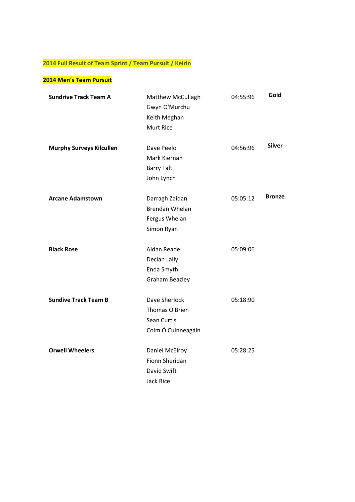# **2014 Full Result of Team Sprint / Team Pursuit / Keirin**

## **2014 Men's Team Pursuit**

| <b>Sundrive Track Team A</b>    | Matthew McCullagh                       | 04:55:96 | Gold          |
|---------------------------------|-----------------------------------------|----------|---------------|
|                                 | Gwyn O'Murchu                           |          |               |
|                                 | Keith Meghan                            |          |               |
|                                 | <b>Murt Rice</b>                        |          |               |
| <b>Murphy Surveys Kilcullen</b> | Dave Peelo                              | 04:56:96 | <b>Silver</b> |
|                                 | Mark Kiernan                            |          |               |
|                                 | <b>Barry Talt</b>                       |          |               |
|                                 | John Lynch                              |          |               |
| <b>Arcane Adamstown</b>         | Darragh Zaidan                          | 05:05:12 | <b>Bronze</b> |
|                                 | <b>Brendan Whelan</b>                   |          |               |
|                                 | Fergus Whelan                           |          |               |
|                                 | Simon Ryan                              |          |               |
|                                 |                                         |          |               |
| <b>Black Rose</b>               | Aidan Reade                             | 05:09:06 |               |
|                                 | Declan Lally                            |          |               |
|                                 | Enda Smyth                              |          |               |
|                                 | Graham Beazley                          |          |               |
| <b>Sundive Track Team B</b>     | Dave Sherlock                           | 05:18:90 |               |
|                                 | Thomas O'Brien                          |          |               |
|                                 | Sean Curtis                             |          |               |
|                                 | Colm Ó Cuinneagáin                      |          |               |
|                                 |                                         |          |               |
| <b>Orwell Wheelers</b>          | Daniel McElroy<br><b>Fionn Sheridan</b> | 05:28:25 |               |
|                                 |                                         |          |               |
|                                 | David Swift                             |          |               |
|                                 | Jack Rice                               |          |               |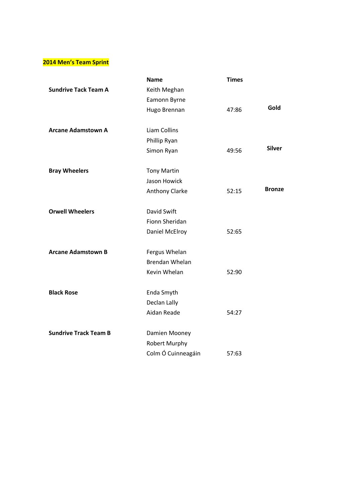## **2014 Men's Team Sprint**

|                              | <b>Name</b>           | <b>Times</b> |               |
|------------------------------|-----------------------|--------------|---------------|
| <b>Sundrive Tack Team A</b>  | Keith Meghan          |              |               |
|                              | Eamonn Byrne          |              |               |
|                              | Hugo Brennan          | 47:86        | Gold          |
| <b>Arcane Adamstown A</b>    | Liam Collins          |              |               |
|                              | Phillip Ryan          |              |               |
|                              | Simon Ryan            | 49:56        | <b>Silver</b> |
| <b>Bray Wheelers</b>         | <b>Tony Martin</b>    |              |               |
|                              | Jason Howick          |              |               |
|                              | Anthony Clarke        | 52:15        | <b>Bronze</b> |
| <b>Orwell Wheelers</b>       | David Swift           |              |               |
|                              | Fionn Sheridan        |              |               |
|                              | Daniel McElroy        | 52:65        |               |
| <b>Arcane Adamstown B</b>    | Fergus Whelan         |              |               |
|                              | <b>Brendan Whelan</b> |              |               |
|                              | Kevin Whelan          | 52:90        |               |
| <b>Black Rose</b>            | Enda Smyth            |              |               |
|                              | Declan Lally          |              |               |
|                              | Aidan Reade           | 54:27        |               |
| <b>Sundrive Track Team B</b> | Damien Mooney         |              |               |
|                              | <b>Robert Murphy</b>  |              |               |
|                              | Colm Ó Cuinneagáin    | 57:63        |               |
|                              |                       |              |               |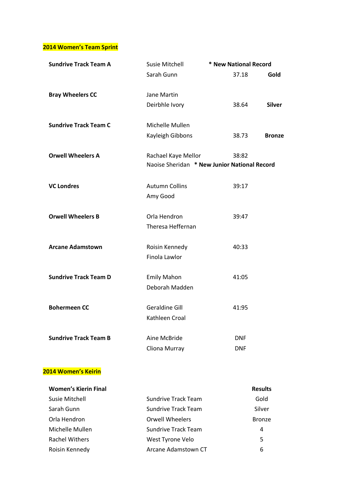**2014 Women's Team Sprint**

| <b>Sundrive Track Team A</b> | <b>Susie Mitchell</b>                        | * New National Record |                |
|------------------------------|----------------------------------------------|-----------------------|----------------|
|                              | Sarah Gunn                                   | 37.18                 | Gold           |
| <b>Bray Wheelers CC</b>      | Jane Martin                                  |                       |                |
|                              | Deirbhle Ivory                               | 38.64                 | <b>Silver</b>  |
| <b>Sundrive Track Team C</b> | Michelle Mullen                              |                       |                |
|                              | Kayleigh Gibbons                             | 38.73                 | <b>Bronze</b>  |
| <b>Orwell Wheelers A</b>     | Rachael Kaye Mellor                          | 38:82                 |                |
|                              | Naoise Sheridan * New Junior National Record |                       |                |
| <b>VC Londres</b>            | <b>Autumn Collins</b>                        | 39:17                 |                |
|                              | Amy Good                                     |                       |                |
| <b>Orwell Wheelers B</b>     | Orla Hendron                                 | 39:47                 |                |
|                              | Theresa Heffernan                            |                       |                |
| <b>Arcane Adamstown</b>      | Roisin Kennedy                               | 40:33                 |                |
|                              | Finola Lawlor                                |                       |                |
| <b>Sundrive Track Team D</b> | <b>Emily Mahon</b>                           | 41:05                 |                |
|                              | Deborah Madden                               |                       |                |
| <b>Bohermeen CC</b>          | <b>Geraldine Gill</b>                        | 41:95                 |                |
|                              | Kathleen Croal                               |                       |                |
| <b>Sundrive Track Team B</b> | Aine McBride                                 | <b>DNF</b>            |                |
|                              | Cliona Murray                                | <b>DNF</b>            |                |
| <b>2014 Women's Keirin</b>   |                                              |                       |                |
| <b>Women's Kierin Final</b>  |                                              |                       | <b>Results</b> |
| <b>Susie Mitchell</b>        | <b>Sundrive Track Team</b>                   |                       | Gold           |
| Sarah Gunn                   | <b>Sundrive Track Team</b>                   |                       | Silver         |
| Orla Hendron                 | <b>Orwell Wheelers</b>                       |                       | <b>Bronze</b>  |
| Michelle Mullen              | <b>Sundrive Track Team</b>                   |                       | 4              |
| <b>Rachel Withers</b>        | West Tyrone Velo                             |                       | 5              |

Roisin Kennedy **Arcane Adamstown CT** 6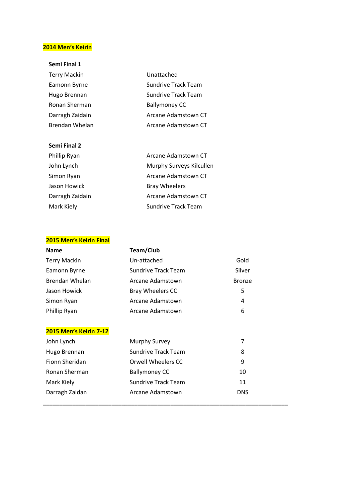## **2014 Men's Keirin**

## **Semi Final 1**

| <b>Terry Mackin</b> | Unattached                 |
|---------------------|----------------------------|
| Eamonn Byrne        | <b>Sundrive Track Team</b> |
| Hugo Brennan        | Sundrive Track Team        |
| Ronan Sherman       | <b>Ballymoney CC</b>       |
| Darragh Zaidain     | Arcane Adamstown CT        |
| Brendan Whelan      | Arcane Adamstown CT        |

### **Semi Final 2**

| Phillip Ryan    | Arcane Adamstown CT        |
|-----------------|----------------------------|
| John Lynch      | Murphy Surveys Kilcullen   |
| Simon Ryan      | Arcane Adamstown CT        |
| Jason Howick    | <b>Bray Wheelers</b>       |
| Darragh Zaidain | Arcane Adamstown CT        |
| Mark Kiely      | <b>Sundrive Track Team</b> |
|                 |                            |

## **2015 Men's Keirin Final**

| <b>Name</b>                   | Team/Club                  |               |
|-------------------------------|----------------------------|---------------|
| <b>Terry Mackin</b>           | Un-attached                | Gold          |
| Eamonn Byrne                  | Sundrive Track Team        | Silver        |
| Brendan Whelan                | Arcane Adamstown           | <b>Bronze</b> |
| Jason Howick                  | <b>Bray Wheelers CC</b>    | 5             |
| Simon Ryan                    | Arcane Adamstown           | 4             |
| Phillip Ryan                  | Arcane Adamstown           | 6             |
|                               |                            |               |
| <b>2015 Men's Keirin 7-12</b> |                            |               |
| John Lynch                    | Murphy Survey              | 7             |
| Hugo Brennan                  | <b>Sundrive Track Team</b> | 8             |
| Fionn Sheridan                | <b>Orwell Wheelers CC</b>  | 9             |
| Ronan Sherman                 | <b>Ballymoney CC</b>       | 10            |
| Mark Kiely                    | <b>Sundrive Track Team</b> | 11            |
| Darragh Zaidan                | Arcane Adamstown           | DNS           |

**\_\_\_\_\_\_\_\_\_\_\_\_\_\_\_\_\_\_\_\_\_\_\_\_\_\_\_\_\_\_\_\_\_\_\_\_\_\_\_\_\_\_\_\_\_\_\_\_\_\_\_\_\_\_\_\_\_\_\_\_\_\_\_\_\_\_\_\_\_\_\_\_\_\_\_**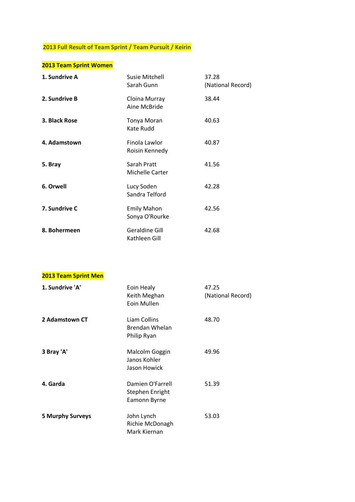# **2013 Full Result of Team Sprint / Team Pursuit / Keirin**

# **2013 Team Sprint Women**

| 1. Sundrive A | Susie Mitchell<br>Sarah Gunn           | 37.28<br>(National Record) |
|---------------|----------------------------------------|----------------------------|
| 2. Sundrive B | Cloina Murray<br>Aine McBride          | 38.44                      |
| 3. Black Rose | Tonya Moran<br>Kate Rudd               | 40.63                      |
| 4. Adamstown  | Finola Lawlor<br>Roisin Kennedy        | 40.87                      |
| 5. Bray       | Sarah Pratt<br>Michelle Carter         | 41.56                      |
| 6. Orwell     | Lucy Soden<br>Sandra Telford           | 42.28                      |
| 7. Sundrive C | <b>Emily Mahon</b><br>Sonya O'Rourke   | 42.56                      |
| 8. Bohermeen  | <b>Geraldine Gill</b><br>Kathleen Gill | 42.68                      |

## **2013 Team Sprint Men**

| 1. Sundrive 'A'         | Eoin Healy<br>Keith Meghan<br>Eoin Mullen           | 47.25<br>(National Record) |
|-------------------------|-----------------------------------------------------|----------------------------|
| 2 Adamstown CT          | Liam Collins<br>Brendan Whelan<br>Philip Ryan       | 48.70                      |
| 3 Bray 'A'              | Malcolm Goggin<br>Janos Kohler<br>Jason Howick      | 49.96                      |
| 4. Garda                | Damien O'Farrell<br>Stephen Enright<br>Eamonn Byrne | 51.39                      |
| <b>5 Murphy Surveys</b> | John Lynch<br>Richie McDonagh<br>Mark Kiernan       | 53.03                      |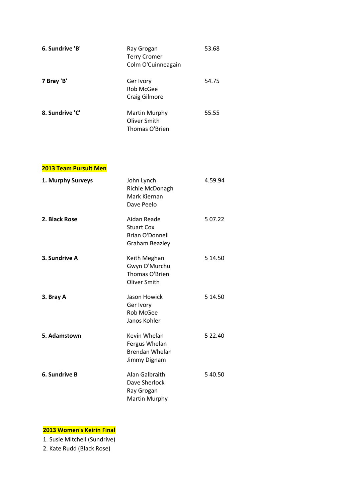| 6. Sundrive 'B' | Ray Grogan<br><b>Terry Cromer</b><br>Colm O'Cuinneagain | 53.68 |
|-----------------|---------------------------------------------------------|-------|
| 7 Bray 'B'      | Ger Ivory<br>Rob McGee<br>Craig Gilmore                 | 54.75 |
| 8. Sundrive 'C' | Martin Murphy<br>Oliver Smith<br>Thomas O'Brien         | 55.55 |

## **2013 Team Pursuit Men**

| 1. Murphy Surveys | John Lynch<br>Richie McDonagh<br>Mark Kiernan<br>Dave Peelo                         | 4.59.94  |
|-------------------|-------------------------------------------------------------------------------------|----------|
| 2. Black Rose     | Aidan Reade<br><b>Stuart Cox</b><br><b>Brian O'Donnell</b><br><b>Graham Beazley</b> | 5 07.22  |
| 3. Sundrive A     | Keith Meghan<br>Gwyn O'Murchu<br>Thomas O'Brien<br>Oliver Smith                     | 5 14.50  |
| 3. Bray A         | Jason Howick<br>Ger Ivory<br><b>Rob McGee</b><br>Janos Kohler                       | 5 14.50  |
| 5. Adamstown      | Kevin Whelan<br>Fergus Whelan<br><b>Brendan Whelan</b><br>Jimmy Dignam              | 5 2 2.40 |
| 6. Sundrive B     | Alan Galbraith<br>Dave Sherlock<br>Ray Grogan<br><b>Martin Murphy</b>               | 5 40.50  |

## **2013 Women's Keirin Final**

1. Susie Mitchell (Sundrive)

2. Kate Rudd (Black Rose)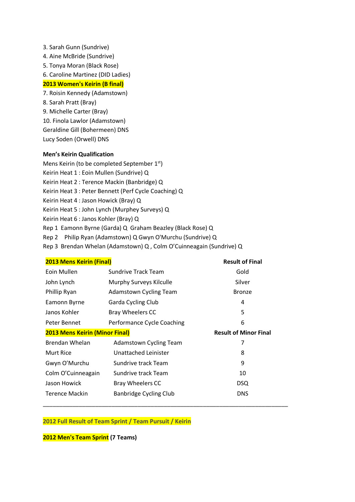- 3. Sarah Gunn (Sundrive) 4. Aine McBride (Sundrive) 5. Tonya Moran (Black Rose) 6. Caroline Martinez (DID Ladies) **2013 Women's Keirin (B final)** 7. Roisin Kennedy (Adamstown) 8. Sarah Pratt (Bray)
- 9. Michelle Carter (Bray)
- 
- 10. Finola Lawlor (Adamstown)
- Geraldine Gill (Bohermeen) DNS Lucy Soden (Orwell) DNS
- 

## **Men's Keirin Qualification**

- Mens Keirin (to be completed September 1<sup>st</sup>)
- Keirin Heat 1 : Eoin Mullen (Sundrive) Q
- Keirin Heat 2 : Terence Mackin (Banbridge) Q
- Keirin Heat 3 : Peter Bennett (Perf Cycle Coaching) Q
- Keirin Heat 4 : Jason Howick (Bray) Q
- Keirin Heat 5 : John Lynch (Murphey Surveys) Q
- Keirin Heat 6 : Janos Kohler (Bray) Q
- Rep 1 Eamonn Byrne (Garda) Q Graham Beazley (Black Rose) Q
- Rep 2 Philip Ryan (Adamstown) Q Gwyn O'Murchu (Sundrive) Q
- Rep 3 Brendan Whelan (Adamstown) Q , Colm O'Cuinneagain (Sundrive) Q

| <b>2013 Mens Keirin (Final)</b>       |                               | <b>Result of Final</b>       |
|---------------------------------------|-------------------------------|------------------------------|
| Eoin Mullen                           | Sundrive Track Team           | Gold                         |
| John Lynch                            | Murphy Surveys Kilculle       | Silver                       |
| Phillip Ryan                          | <b>Adamstown Cycling Team</b> | <b>Bronze</b>                |
| Eamonn Byrne                          | Garda Cycling Club            | 4                            |
| Janos Kohler                          | <b>Bray Wheelers CC</b>       | 5                            |
| Peter Bennet                          | Performance Cycle Coaching    | 6                            |
| <b>2013 Mens Keirin (Minor Final)</b> |                               | <b>Result of Minor Final</b> |
| Brendan Whelan                        | Adamstown Cycling Team        | 7                            |
| <b>Murt Rice</b>                      | Unattached Leinister          | 8                            |
| Gwyn O'Murchu                         | Sundrive track Team           | 9                            |
| Colm O'Cuinneagain                    | Sundrive track Team           | 10                           |
| Jason Howick                          | <b>Bray Wheelers CC</b>       | <b>DSQ</b>                   |
| Terence Mackin                        | Banbridge Cycling Club        | <b>DNS</b>                   |
|                                       |                               |                              |

#### **2012 Full Result of Team Sprint / Team Pursuit / Keirin**

**2012 Men's Team Sprint (7 Teams)**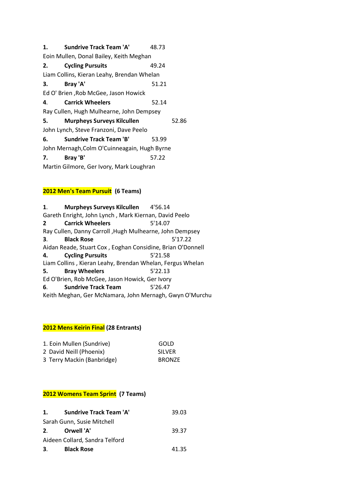| 1. | <b>Sundrive Track Team 'A'</b>               | 48.73 |       |
|----|----------------------------------------------|-------|-------|
|    | Eoin Mullen, Donal Bailey, Keith Meghan      |       |       |
| 2. | <b>Cycling Pursuits</b>                      | 49.24 |       |
|    | Liam Collins, Kieran Leahy, Brendan Whelan   |       |       |
| 3. | Bray 'A'                                     | 51.21 |       |
|    | Ed O' Brien, Rob McGee, Jason Howick         |       |       |
| 4. | <b>Carrick Wheelers</b>                      | 52.14 |       |
|    | Ray Cullen, Hugh Mulhearne, John Dempsey     |       |       |
| 5. | <b>Murpheys Surveys Kilcullen</b>            |       | 52.86 |
|    | John Lynch, Steve Franzoni, Dave Peelo       |       |       |
| 6. | <b>Sundrive Track Team 'B'</b>               | 53.99 |       |
|    | John Mernagh, Colm O'Cuinneagain, Hugh Byrne |       |       |
| 7. | Bray 'B'                                     | 57.22 |       |
|    | Martin Gilmore, Ger Ivory, Mark Loughran     |       |       |
|    |                                              |       |       |

## **2012 Men's Team Pursuit (6 Teams)**

| $\mathbf{1}$ .                                 | <b>Murpheys Surveys Kilcullen</b>                          | 4'56.14 |  |
|------------------------------------------------|------------------------------------------------------------|---------|--|
|                                                | Gareth Enright, John Lynch, Mark Kiernan, David Peelo      |         |  |
| $\overline{2}$                                 | <b>Carrick Wheelers</b>                                    | 5'14.07 |  |
|                                                | Ray Cullen, Danny Carroll, Hugh Mulhearne, John Dempsey    |         |  |
| 3.                                             | <b>Black Rose</b>                                          | 5'17.22 |  |
|                                                | Aidan Reade, Stuart Cox, Eoghan Considine, Brian O'Donnell |         |  |
| 4.                                             | <b>Cycling Pursuits</b>                                    | 5'21.58 |  |
|                                                | Liam Collins, Kieran Leahy, Brendan Whelan, Fergus Whelan  |         |  |
| 5.                                             | <b>Bray Wheelers</b>                                       | 5'22.13 |  |
| Ed O'Brien, Rob McGee, Jason Howick, Ger Ivory |                                                            |         |  |
| 6.                                             | <b>Sundrive Track Team</b>                                 | 5'26.47 |  |
|                                                | Keith Meghan, Ger McNamara, John Mernagh, Gwyn O'Murchu    |         |  |

## **2012 Mens Keirin Final (28 Entrants)**

| 1. Eoin Mullen (Sundrive)  | GOLD          |
|----------------------------|---------------|
| 2 David Neill (Phoenix)    | <b>SILVER</b> |
| 3 Terry Mackin (Banbridge) | <b>BRONZE</b> |

## **2012 Womens Team Sprint (7 Teams)**

| 1.                             | <b>Sundrive Track Team 'A'</b> | 39.03 |
|--------------------------------|--------------------------------|-------|
|                                | Sarah Gunn, Susie Mitchell     |       |
| 2.                             | Orwell 'A'                     | 39.37 |
| Aideen Collard, Sandra Telford |                                |       |
| 3.                             | <b>Black Rose</b>              | 41.35 |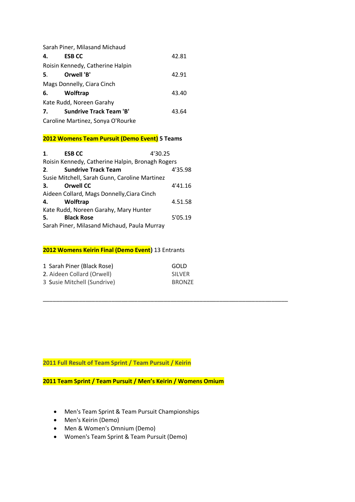|    | Sarah Piner, Milasand Michaud     |       |  |
|----|-----------------------------------|-------|--|
| 4. | <b>ESB CC</b>                     | 42.81 |  |
|    | Roisin Kennedy, Catherine Halpin  |       |  |
| 5. | Orwell 'B'                        | 42.91 |  |
|    | Mags Donnelly, Ciara Cinch        |       |  |
|    | Wolftrap                          | 43.40 |  |
|    | Kate Rudd, Noreen Garahy          |       |  |
| 7. | <b>Sundrive Track Team 'B'</b>    | 43.64 |  |
|    | Caroline Martinez, Sonya O'Rourke |       |  |

### **2012 Womens Team Pursuit (Demo Event) 5 Teams**

| $\mathbf{1}$ .                        | <b>ESB CC</b>                                    | 4'30.25 |  |  |
|---------------------------------------|--------------------------------------------------|---------|--|--|
|                                       | Roisin Kennedy, Catherine Halpin, Bronagh Rogers |         |  |  |
| 2.                                    | <b>Sundrive Track Team</b>                       | 4'35.98 |  |  |
|                                       | Susie Mitchell, Sarah Gunn, Caroline Martinez    |         |  |  |
| 3.                                    | <b>Orwell CC</b>                                 | 4'41.16 |  |  |
|                                       | Aideen Collard, Mags Donnelly, Ciara Cinch       |         |  |  |
| 4.                                    | Wolftrap                                         | 4.51.58 |  |  |
| Kate Rudd, Noreen Garahy, Mary Hunter |                                                  |         |  |  |
| 5.                                    | <b>Black Rose</b>                                | 5'05.19 |  |  |
|                                       | Sarah Piner, Milasand Michaud, Paula Murray      |         |  |  |

#### **2012 Womens Keirin Final (Demo Event)** 13 Entrants

| 1 Sarah Piner (Black Rose)  | GOLD          |
|-----------------------------|---------------|
| 2. Aideen Collard (Orwell)  | <b>SILVER</b> |
| 3 Susie Mitchell (Sundrive) | <b>BRONZE</b> |

## **2011 Full Result of Team Sprint / Team Pursuit / Keirin**

**2011 Team Sprint / Team Pursuit / Men's Keirin / Womens Omium**

**\_\_\_\_\_\_\_\_\_\_\_\_\_\_\_\_\_\_\_\_\_\_\_\_\_\_\_\_\_\_\_\_\_\_\_\_\_\_\_\_\_\_\_\_\_\_\_\_\_\_\_\_\_\_\_\_\_\_\_\_\_\_\_\_\_\_\_\_\_\_\_\_\_\_\_**

- Men's Team Sprint & Team Pursuit Championships
- Men's Keirin (Demo)
- Men & Women's Omnium (Demo)
- Women's Team Sprint & Team Pursuit (Demo)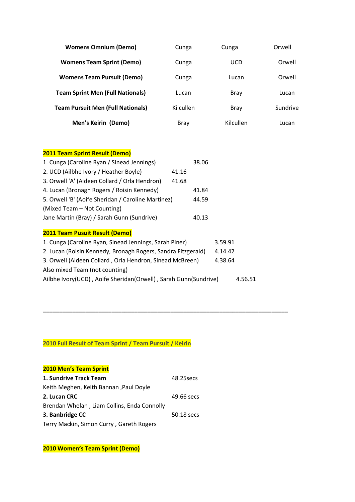| <b>Womens Omnium (Demo)</b>              | Cunga       | Cunga       | Orwell   |
|------------------------------------------|-------------|-------------|----------|
| <b>Womens Team Sprint (Demo)</b>         | Cunga       | <b>UCD</b>  | Orwell   |
| <b>Womens Team Pursuit (Demo)</b>        | Cunga       | Lucan       | Orwell   |
| <b>Team Sprint Men (Full Nationals)</b>  | Lucan       | <b>Bray</b> | Lucan    |
| <b>Team Pursuit Men (Full Nationals)</b> | Kilcullen   | Bray        | Sundrive |
| Men's Keirin (Demo)                      | <b>Bray</b> | Kilcullen   | Lucan    |

## **2011 Team Sprint Result (Demo)**

| 1. Cunga (Caroline Ryan / Sinead Jennings)                                 | 38.06 |         |
|----------------------------------------------------------------------------|-------|---------|
| 2. UCD (Ailbhe Ivory / Heather Boyle)                                      | 41.16 |         |
| 3. Orwell 'A' (Aideen Collard / Orla Hendron)                              | 41.68 |         |
| 4. Lucan (Bronagh Rogers / Roisin Kennedy)                                 | 41.84 |         |
| 5. Orwell 'B' (Aoife Sheridan / Caroline Martinez)<br>44.59                |       |         |
| (Mixed Team – Not Counting)                                                |       |         |
| Jane Martin (Bray) / Sarah Gunn (Sundrive)                                 | 40.13 |         |
|                                                                            |       |         |
| <b>2011 Team Pusuit Result (Demo)</b>                                      |       |         |
| 1. Cunga (Caroline Ryan, Sinead Jennings, Sarah Piner)                     |       | 3.59.91 |
| 2. Lucan (Roisin Kennedy, Bronagh Rogers, Sandra Fitzgerald)<br>4.14.42    |       |         |
| 3. Orwell (Aideen Collard, Orla Hendron, Sinead McBreen)                   |       | 4.38.64 |
| Also mixed Team (not counting)                                             |       |         |
| Ailbhe Ivory(UCD), Aoife Sheridan(Orwell), Sarah Gunn(Sundrive)<br>4.56.51 |       |         |

**\_\_\_\_\_\_\_\_\_\_\_\_\_\_\_\_\_\_\_\_\_\_\_\_\_\_\_\_\_\_\_\_\_\_\_\_\_\_\_\_\_\_\_\_\_\_\_\_\_\_\_\_\_\_\_\_\_\_\_\_\_\_\_\_\_\_\_\_\_\_\_\_\_\_\_**

## **2010 Full Result of Team Sprint / Team Pursuit / Keirin**

| <b>2010 Men's Team Sprint</b>               |            |
|---------------------------------------------|------------|
| 1. Sundrive Track Team                      | 48.25 secs |
| Keith Meghen, Keith Bannan, Paul Doyle      |            |
| 2. Lucan CRC                                | 49.66 secs |
| Brendan Whelan, Liam Collins, Enda Connolly |            |
| 3. Banbridge CC                             | 50.18 secs |
| Terry Mackin, Simon Curry, Gareth Rogers    |            |

**2010 Women's Team Sprint (Demo)**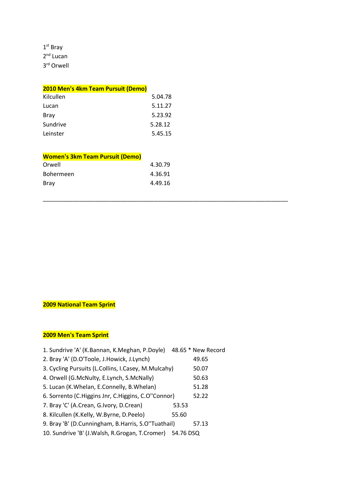1 st Bray 2<sup>nd</sup> Lucan 3 rd Orwell

| 2010 Men's 4km Team Pursuit (Demo) |         |
|------------------------------------|---------|
| Kilcullen                          | 5.04.78 |
| Lucan                              | 5.11.27 |
| <b>Bray</b>                        | 5.23.92 |
| Sundrive                           | 5.28.12 |
| Leinster                           | 5.45.15 |
|                                    |         |

| <b>Women's 3km Team Pursuit (Demo)</b> |         |
|----------------------------------------|---------|
| Orwell                                 | 4.30.79 |
| <b>Bohermeen</b>                       | 4.36.91 |
| Bray                                   | 4.49.16 |

**\_\_\_\_\_\_\_\_\_\_\_\_\_\_\_\_\_\_\_\_\_\_\_\_\_\_\_\_\_\_\_\_\_\_\_\_\_\_\_\_\_\_\_\_\_\_\_\_\_\_\_\_\_\_\_\_\_\_\_\_\_\_\_\_\_\_\_\_\_\_\_\_\_\_\_**

## **2009 National Team Sprint**

## **2009 Men's Team Sprint**

| 1. Sundrive 'A' (K.Bannan, K.Meghan, P.Doyle)               |       | 48.65 * New Record |
|-------------------------------------------------------------|-------|--------------------|
| 2. Bray 'A' (D.O'Toole, J.Howick, J.Lynch)                  |       | 49.65              |
| 3. Cycling Pursuits (L.Collins, I.Casey, M.Mulcahy)         |       | 50.07              |
| 4. Orwell (G.McNulty, E.Lynch, S.McNally)                   |       | 50.63              |
| 5. Lucan (K. Whelan, E. Connelly, B. Whelan)                |       | 51.28              |
| 6. Sorrento (C.Higgins Jnr, C.Higgins, C.O"Connor)          |       | 52.22              |
| 7. Bray 'C' (A.Crean, G.Ivory, D.Crean)                     | 53.53 |                    |
| 8. Kilcullen (K.Kelly, W.Byrne, D.Peelo)                    | 55.60 |                    |
| 9. Bray 'B' (D.Cunningham, B.Harris, S.O"Tuathail)          |       | 57.13              |
| 10. Sundrive 'B' (J. Walsh, R. Grogan, T. Cromer) 54.76 DSQ |       |                    |
|                                                             |       |                    |